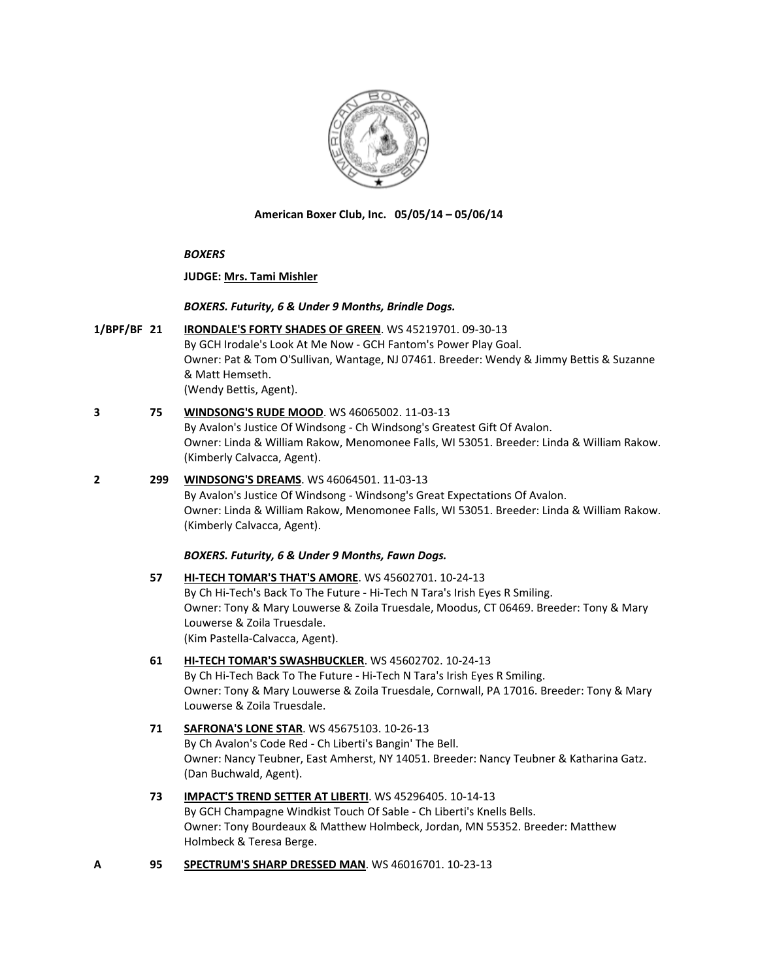

**American Boxer Club, Inc. 05/05/14 – 05/06/14**

#### *BOXERS*

#### **JUDGE: [Mrs. Tami Mishler](http://www.infodog.com/judges/50697/juddat.htm)**

#### *BOXERS. Futurity, 6 & Under 9 Months, Brindle Dogs.*

**1/BPF/BF 21 [IRONDALE'S FORTY SHADES OF GREEN](http://www.infodog.com/files/bdogrsl1.prg;makc=WS%2045219701;mdog=Irondale_s_Forty_Shades_Of_Green;wins=all)**. WS 45219701. 09-30-13 By GCH Irodale's Look At Me Now - GCH Fantom's Power Play Goal. Owner: Pat & Tom O'Sullivan, Wantage, NJ 07461. Breeder: Wendy & Jimmy Bettis & Suzanne & Matt Hemseth. (Wendy Bettis, Agent).

# **3 75 [WINDSONG'S RUDE MOOD](http://www.infodog.com/files/bdogrsl1.prg;makc=WS%2046065002;mdog=Windsong_s_Rude_Mood;wins=all)**. WS 46065002. 11-03-13

By Avalon's Justice Of Windsong - Ch Windsong's Greatest Gift Of Avalon. Owner: Linda & William Rakow, Menomonee Falls, WI 53051. Breeder: Linda & William Rakow. (Kimberly Calvacca, Agent).

#### **2 299 [WINDSONG'S DREAMS](http://www.infodog.com/files/bdogrsl1.prg;makc=WS%2046064501;mdog=Windsong_s_Dreams;wins=all)**. WS 46064501. 11-03-13

By Avalon's Justice Of Windsong - Windsong's Great Expectations Of Avalon. Owner: Linda & William Rakow, Menomonee Falls, WI 53051. Breeder: Linda & William Rakow. (Kimberly Calvacca, Agent).

#### *BOXERS. Futurity, 6 & Under 9 Months, Fawn Dogs.*

### **57 [HI-TECH TOMAR'S THAT'S AMORE](http://www.infodog.com/files/bdogrsl1.prg;makc=WS%2045602701;mdog=Hi-Tech_Tomar_s_That_s_Amore;wins=all)**. WS 45602701. 10-24-13 By Ch Hi-Tech's Back To The Future - Hi-Tech N Tara's Irish Eyes R Smiling. Owner: Tony & Mary Louwerse & Zoila Truesdale, Moodus, CT 06469. Breeder: Tony & Mary Louwerse & Zoila Truesdale. (Kim Pastella-Calvacca, Agent).

#### **61 [HI-TECH TOMAR'S SWASHBUCKLER](http://www.infodog.com/files/bdogrsl1.prg;makc=WS%2045602702;mdog=Hi-Tech_Tomar_s_Swashbuckler;wins=all)**. WS 45602702. 10-24-13 By Ch Hi-Tech Back To The Future - Hi-Tech N Tara's Irish Eyes R Smiling.

Owner: Tony & Mary Louwerse & Zoila Truesdale, Cornwall, PA 17016. Breeder: Tony & Mary Louwerse & Zoila Truesdale.

### **71 [SAFRONA'S LONE STAR](http://www.infodog.com/files/bdogrsl1.prg;makc=WS%2045675103;mdog=Safrona_s_Lone_Star;wins=all)**. WS 45675103. 10-26-13 By Ch Avalon's Code Red - Ch Liberti's Bangin' The Bell. Owner: Nancy Teubner, East Amherst, NY 14051. Breeder: Nancy Teubner & Katharina Gatz. (Dan Buchwald, Agent).

## **73 [IMPACT'S TREND SETTER AT LIBERTI](http://www.infodog.com/files/bdogrsl1.prg;makc=WS%2045296405;mdog=Impact_s_Trend_Setter_At_Liberti;wins=all)**. WS 45296405. 10-14-13 By GCH Champagne Windkist Touch Of Sable - Ch Liberti's Knells Bells. Owner: Tony Bourdeaux & Matthew Holmbeck, Jordan, MN 55352. Breeder: Matthew Holmbeck & Teresa Berge.

**A 95 [SPECTRUM'S SHARP DRESSED MAN](http://www.infodog.com/files/bdogrsl1.prg;makc=WS%2046016701;mdog=Spectrum_s_Sharp_Dressed_Man;wins=all)**. WS 46016701. 10-23-13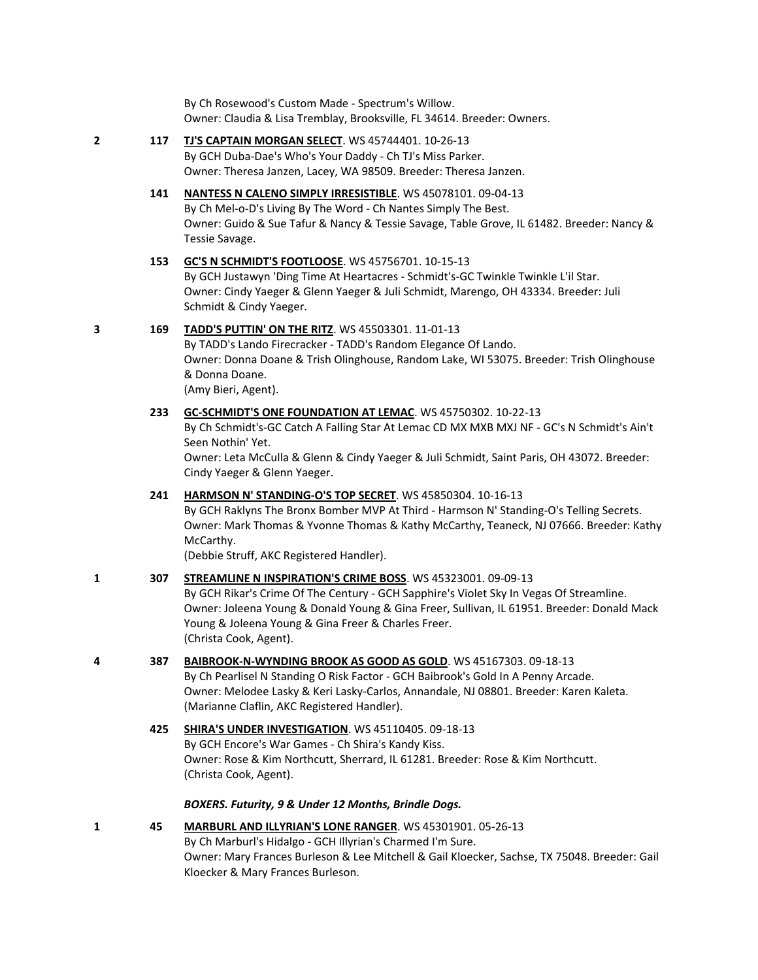By Ch Rosewood's Custom Made - Spectrum's Willow. Owner: Claudia & Lisa Tremblay, Brooksville, FL 34614. Breeder: Owners.

#### **2 117 [TJ'S CAPTAIN MORGAN SELECT](http://www.infodog.com/files/bdogrsl1.prg;makc=WS%2045744401;mdog=TJ_s_Captain_Morgan_Select;wins=all)**. WS 45744401. 10-26-13 By GCH Duba-Dae's Who's Your Daddy - Ch TJ's Miss Parker.

Owner: Theresa Janzen, Lacey, WA 98509. Breeder: Theresa Janzen.

# **141 [NANTESS N CALENO SIMPLY IRRESISTIBLE](http://www.infodog.com/files/bdogrsl1.prg;makc=WS%2045078101;mdog=Nantess_N_Caleno_Simply_Irresistible;wins=all)**. WS 45078101. 09-04-13

By Ch Mel-o-D's Living By The Word - Ch Nantes Simply The Best. Owner: Guido & Sue Tafur & Nancy & Tessie Savage, Table Grove, IL 61482. Breeder: Nancy & Tessie Savage.

# **153 [GC'S N SCHMIDT'S FOOTLOOSE](http://www.infodog.com/files/bdogrsl1.prg;makc=WS%2045756701;mdog=GC_s_N_Schmidt_s_Footloose;wins=all)**. WS 45756701. 10-15-13

By GCH Justawyn 'Ding Time At Heartacres - Schmidt's-GC Twinkle Twinkle L'il Star. Owner: Cindy Yaeger & Glenn Yaeger & Juli Schmidt, Marengo, OH 43334. Breeder: Juli Schmidt & Cindy Yaeger.

## **3 169 [TADD'S PUTTIN' ON](http://www.infodog.com/files/bdogrsl1.prg;makc=WS%2045503301;mdog=TADD_s_Puttin__On_The_Ritz;wins=all) THE RITZ**. WS 45503301. 11-01-13

By TADD's Lando Firecracker - TADD's Random Elegance Of Lando. Owner: Donna Doane & Trish Olinghouse, Random Lake, WI 53075. Breeder: Trish Olinghouse & Donna Doane. (Amy Bieri, Agent).

# **233 [GC-SCHMIDT'S ONE FOUNDATION AT LEMAC](http://www.infodog.com/files/bdogrsl1.prg;makc=WS%2045750302;mdog=GC-Schmidt_s_One_Foundation_At_Lemac;wins=all)**. WS 45750302. 10-22-13

By Ch Schmidt's-GC Catch A Falling Star At Lemac CD MX MXB MXJ NF - GC's N Schmidt's Ain't Seen Nothin' Yet.

Owner: Leta McCulla & Glenn & Cindy Yaeger & Juli Schmidt, Saint Paris, OH 43072. Breeder: Cindy Yaeger & Glenn Yaeger.

#### **241 [HARMSON N' STANDING-O'S TOP SECRET](http://www.infodog.com/files/bdogrsl1.prg;makc=WS%2045850304;mdog=Harmson_N__Standing-O_s_Top_Secret;wins=all)**. WS 45850304. 10-16-13

By GCH Raklyns The Bronx Bomber MVP At Third - Harmson N' Standing-O's Telling Secrets. Owner: Mark Thomas & Yvonne Thomas & Kathy McCarthy, Teaneck, NJ 07666. Breeder: Kathy McCarthy.

(Debbie Struff, AKC Registered Handler).

#### **1 307 [STREAMLINE N INSPIRATION'S CRIME BOSS](http://www.infodog.com/files/bdogrsl1.prg;makc=WS%2045323001;mdog=Streamline_N_Inspiration_s_Crime_Boss;wins=all)**. WS 45323001. 09-09-13

By GCH Rikar's Crime Of The Century - GCH Sapphire's Violet Sky In Vegas Of Streamline. Owner: Joleena Young & Donald Young & Gina Freer, Sullivan, IL 61951. Breeder: Donald Mack Young & Joleena Young & Gina Freer & Charles Freer. (Christa Cook, Agent).

#### **4 387 [BAIBROOK-N-WYNDING BROOK AS GOOD AS GOLD](http://www.infodog.com/files/bdogrsl1.prg;makc=WS%2045167303;mdog=Baibrook-N-Wynding_Brook_As_Good_As_Gold;wins=all)**. WS 45167303. 09-18-13

By Ch Pearlisel N Standing O Risk Factor - GCH Baibrook's Gold In A Penny Arcade. Owner: Melodee Lasky & Keri Lasky-Carlos, Annandale, NJ 08801. Breeder: Karen Kaleta. (Marianne Claflin, AKC Registered Handler).

**425 [SHIRA'S UNDER INVESTIGATION](http://www.infodog.com/files/bdogrsl1.prg;makc=WS%2045110405;mdog=Shira_s_Under_Investigation;wins=all)**. WS 45110405. 09-18-13 By GCH Encore's War Games - Ch Shira's Kandy Kiss. Owner: Rose & Kim Northcutt, Sherrard, IL 61281. Breeder: Rose & Kim Northcutt. (Christa Cook, Agent).

## *BOXERS. Futurity, 9 & Under 12 Months, Brindle Dogs.*

## **1 45 [MARBURL AND ILLYRIAN'S LONE RANGER](http://www.infodog.com/files/bdogrsl1.prg;makc=WS%2045301901;mdog=Marburl_And_Illyrian_s_Lone_Ranger;wins=all)**. WS 45301901. 05-26-13 By Ch Marburl's Hidalgo - GCH Illyrian's Charmed I'm Sure. Owner: Mary Frances Burleson & Lee Mitchell & Gail Kloecker, Sachse, TX 75048. Breeder: Gail Kloecker & Mary Frances Burleson.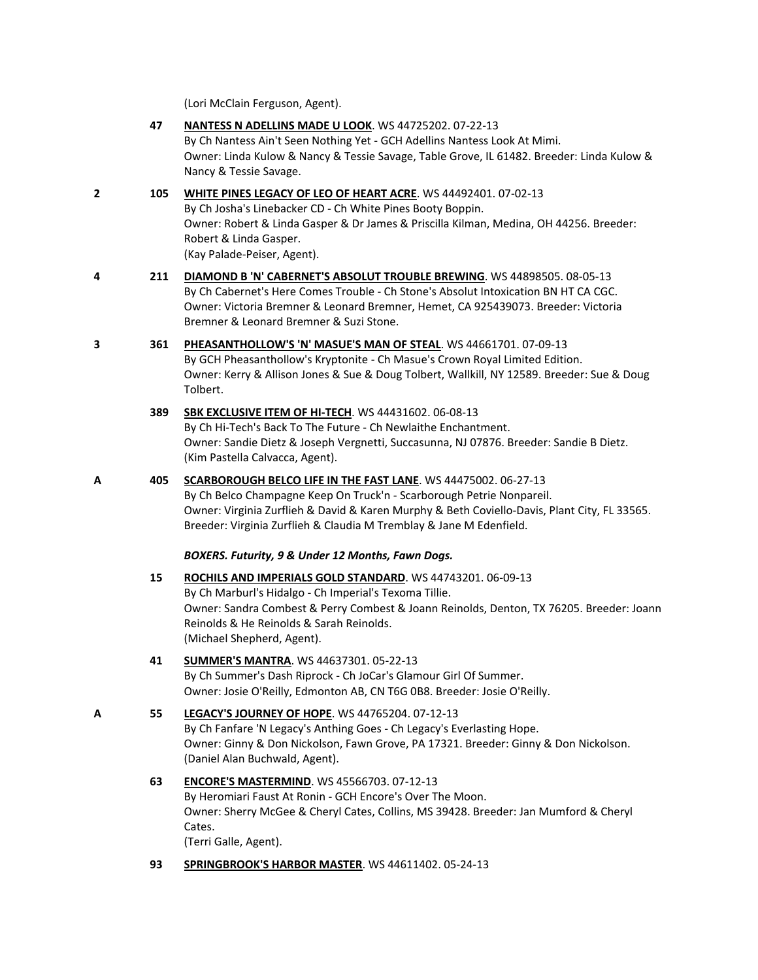(Lori McClain Ferguson, Agent).

- **47 [NANTESS N ADELLINS MADE U LOOK](http://www.infodog.com/files/bdogrsl1.prg;makc=WS%2044725202;mdog=Nantess_N_Adellins_Made_U_Look;wins=all)**. WS 44725202. 07-22-13 By Ch Nantess Ain't Seen Nothing Yet - GCH Adellins Nantess Look At Mimi. Owner: Linda Kulow & Nancy & Tessie Savage, Table Grove, IL 61482. Breeder: Linda Kulow & Nancy & Tessie Savage.
- **2 105 [WHITE PINES LEGACY OF LEO OF HEART ACRE](http://www.infodog.com/files/bdogrsl1.prg;makc=WS%2044492401;mdog=White_Pines_Legacy_Of_Leo_Of_Heart_Acre;wins=all)**. WS 44492401. 07-02-13 By Ch Josha's Linebacker CD - Ch White Pines Booty Boppin. Owner: Robert & Linda Gasper & Dr James & Priscilla Kilman, Medina, OH 44256. Breeder: Robert & Linda Gasper. (Kay Palade-Peiser, Agent).
- **4 211 [DIAMOND B 'N' CABERNET'S ABSOLUT TROUBLE BREWING](http://www.infodog.com/files/bdogrsl1.prg;makc=WS%2044898505;mdog=Diamond_B__N__Cabernet_s_Absolut_Trouble_Brewing;wins=all)**. WS 44898505. 08-05-13 By Ch Cabernet's Here Comes Trouble - Ch Stone's Absolut Intoxication BN HT CA CGC. Owner: Victoria Bremner & Leonard Bremner, Hemet, CA 925439073. Breeder: Victoria Bremner & Leonard Bremner & Suzi Stone.
- **3 361 [PHEASANTHOLLOW'S 'N' MASUE'S MAN OF STEAL](http://www.infodog.com/files/bdogrsl1.prg;makc=WS%2044661701;mdog=Pheasanthollow_s__N__Masue_s_Man_Of_Steal;wins=all)**. WS 44661701. 07-09-13 By GCH Pheasanthollow's Kryptonite - Ch Masue's Crown Royal Limited Edition. Owner: Kerry & Allison Jones & Sue & Doug Tolbert, Wallkill, NY 12589. Breeder: Sue & Doug Tolbert.
	- **389 [SBK EXCLUSIVE ITEM OF HI-TECH](http://www.infodog.com/files/bdogrsl1.prg;makc=WS%2044431602;mdog=SBK_Exclusive_Item_Of_Hi-Tech;wins=all)**. WS 44431602. 06-08-13 By Ch Hi-Tech's Back To The Future - Ch Newlaithe Enchantment. Owner: Sandie Dietz & Joseph Vergnetti, Succasunna, NJ 07876. Breeder: Sandie B Dietz. (Kim Pastella Calvacca, Agent).
- **A 405 [SCARBOROUGH BELCO LIFE IN THE FAST LANE](http://www.infodog.com/files/bdogrsl1.prg;makc=WS%2044475002;mdog=Scarborough_Belco_Life_In_The_Fast_Lane;wins=all)**. WS 44475002. 06-27-13 By Ch Belco Champagne Keep On Truck'n - Scarborough Petrie Nonpareil. Owner: Virginia Zurflieh & David & Karen Murphy & Beth Coviello-Davis, Plant City, FL 33565. Breeder: Virginia Zurflieh & Claudia M Tremblay & Jane M Edenfield. *BOXERS. Futurity, 9 & Under 12 Months, Fawn Dogs.* **15 [ROCHILS AND IMPERIALS GOLD STANDARD](http://www.infodog.com/files/bdogrsl1.prg;makc=WS%2044743201;mdog=Rochils_And_Imperials_Gold_Standard;wins=all)**. WS 44743201. 06-09-13 By Ch Marburl's Hidalgo - Ch Imperial's Texoma Tillie. Owner: Sandra Combest & Perry Combest & Joann Reinolds, Denton, TX 76205. Breeder: Joann Reinolds & He Reinolds & Sarah Reinolds. (Michael Shepherd, Agent).
	- **41 [SUMMER'S MANTRA](http://www.infodog.com/files/bdogrsl1.prg;makc=WS%2044637301;mdog=Summer_s_Mantra;wins=all)**. WS 44637301. 05-22-13 By Ch Summer's Dash Riprock - Ch JoCar's Glamour Girl Of Summer. Owner: Josie O'Reilly, Edmonton AB, CN T6G 0B8. Breeder: Josie O'Reilly.

```
A 55 LEGACY'S JOURNEY OF HOPE. WS 44765204. 07-12-13
    By Ch Fanfare 'N Legacy's Anthing Goes - Ch Legacy's Everlasting Hope. 
    Owner: Ginny & Don Nickolson, Fawn Grove, PA 17321. Breeder: Ginny & Don Nickolson.
    (Daniel Alan Buchwald, Agent).
```
**63 [ENCORE'S MASTERMIND](http://www.infodog.com/files/bdogrsl1.prg;makc=WS%2045566703;mdog=Encore_s_Mastermind;wins=all)**. WS 45566703. 07-12-13 By Heromiari Faust At Ronin - GCH Encore's Over The Moon. Owner: Sherry McGee & Cheryl Cates, Collins, MS 39428. Breeder: Jan Mumford & Cheryl Cates.

(Terri Galle, Agent).

**93 [SPRINGBROOK'S HARBOR MASTER](http://www.infodog.com/files/bdogrsl1.prg;makc=WS%2044611402;mdog=Springbrook_s_Harbor_Master;wins=all)**. WS 44611402. 05-24-13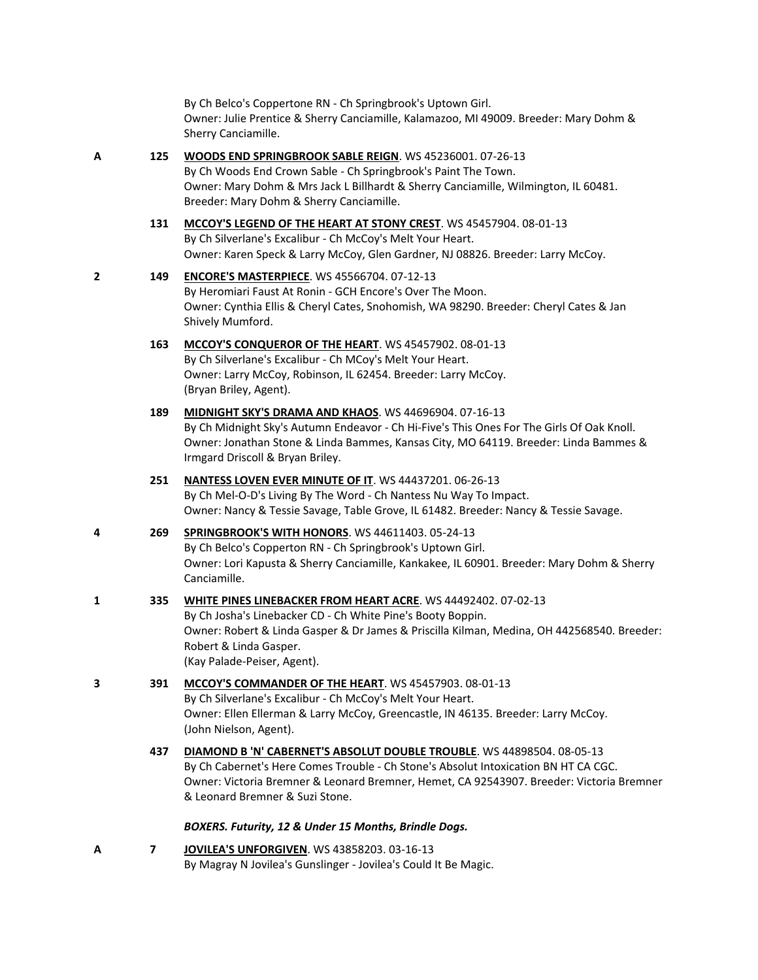By Ch Belco's Coppertone RN - Ch Springbrook's Uptown Girl. Owner: Julie Prentice & Sherry Canciamille, Kalamazoo, MI 49009. Breeder: Mary Dohm & Sherry Canciamille.

#### **A 125 [WOODS END SPRINGBROOK SABLE REIGN](http://www.infodog.com/files/bdogrsl1.prg;makc=WS%2045236001;mdog=Woods_End_Springbrook_Sable_Reign;wins=all)**. WS 45236001. 07-26-13

By Ch Woods End Crown Sable - Ch Springbrook's Paint The Town. Owner: Mary Dohm & Mrs Jack L Billhardt & Sherry Canciamille, Wilmington, IL 60481. Breeder: Mary Dohm & Sherry Canciamille.

**131 [MCCOY'S LEGEND OF THE HEART AT STONY CREST](http://www.infodog.com/files/bdogrsl1.prg;makc=WS%2045457904;mdog=McCoy_s_Legend_Of_The_Heart_At_Stony_Crest;wins=all)**. WS 45457904. 08-01-13 By Ch Silverlane's Excalibur - Ch McCoy's Melt Your Heart. Owner: Karen Speck & Larry McCoy, Glen Gardner, NJ 08826. Breeder: Larry McCoy.

# **2 149 [ENCORE'S MASTERPIECE](http://www.infodog.com/files/bdogrsl1.prg;makc=WS%2045566704;mdog=Encore_s_Masterpiece;wins=all)**. WS 45566704. 07-12-13

By Heromiari Faust At Ronin - GCH Encore's Over The Moon. Owner: Cynthia Ellis & Cheryl Cates, Snohomish, WA 98290. Breeder: Cheryl Cates & Jan Shively Mumford.

- **163 [MCCOY'S CONQUEROR OF THE HEART](http://www.infodog.com/files/bdogrsl1.prg;makc=WS%2045457902;mdog=McCoy_s_Conqueror_Of_The_Heart;wins=all)**. WS 45457902. 08-01-13 By Ch Silverlane's Excalibur - Ch MCoy's Melt Your Heart. Owner: Larry McCoy, Robinson, IL 62454. Breeder: Larry McCoy. (Bryan Briley, Agent).
- **189 [MIDNIGHT SKY'S DRAMA AND KHAOS](http://www.infodog.com/files/bdogrsl1.prg;makc=WS%2044696904;mdog=Midnight_Sky_s_Drama_And_Khaos;wins=all)**. WS 44696904. 07-16-13 By Ch Midnight Sky's Autumn Endeavor - Ch Hi-Five's This Ones For The Girls Of Oak Knoll. Owner: Jonathan Stone & Linda Bammes, Kansas City, MO 64119. Breeder: Linda Bammes & Irmgard Driscoll & Bryan Briley.

#### **251 [NANTESS LOVEN EVER MINUTE OF IT](http://www.infodog.com/files/bdogrsl1.prg;makc=WS%2044437201;mdog=Nantess_Loven_Ever_Minute_Of_It;wins=all)**. WS 44437201. 06-26-13 By Ch Mel-O-D's Living By The Word - Ch Nantess Nu Way To Impact. Owner: Nancy & Tessie Savage, Table Grove, IL 61482. Breeder: Nancy & Tessie Savage.

# **4 269 [SPRINGBROOK'S WITH HONORS](http://www.infodog.com/files/bdogrsl1.prg;makc=WS%2044611403;mdog=Springbrook_s_With_Honors;wins=all)**. WS 44611403. 05-24-13 By Ch Belco's Copperton RN - Ch Springbrook's Uptown Girl. Owner: Lori Kapusta & Sherry Canciamille, Kankakee, IL 60901. Breeder: Mary Dohm & Sherry Canciamille.

#### **1 335 [WHITE PINES LINEBACKER FROM HEART ACRE](http://www.infodog.com/files/bdogrsl1.prg;makc=WS%2044492402;mdog=White_Pines_Linebacker_From_Heart_Acre;wins=all)**. WS 44492402. 07-02-13 By Ch Josha's Linebacker CD - Ch White Pine's Booty Boppin. Owner: Robert & Linda Gasper & Dr James & Priscilla Kilman, Medina, OH 442568540. Breeder: Robert & Linda Gasper. (Kay Palade-Peiser, Agent).

- **3 391 [MCCOY'S COMMANDER OF THE HEART](http://www.infodog.com/files/bdogrsl1.prg;makc=WS%2045457903;mdog=McCoy_s_Commander_Of_The_Heart;wins=all)**. WS 45457903. 08-01-13 By Ch Silverlane's Excalibur - Ch McCoy's Melt Your Heart. Owner: Ellen Ellerman & Larry McCoy, Greencastle, IN 46135. Breeder: Larry McCoy. (John Nielson, Agent).
	- **437 [DIAMOND B 'N' CABERNET'S ABSOLUT DOUBLE TROUBLE](http://www.infodog.com/files/bdogrsl1.prg;makc=WS%2044898504;mdog=Diamond_B__N__Cabernet_s_Absolut_Double_Trouble;wins=all)**. WS 44898504. 08-05-13 By Ch Cabernet's Here Comes Trouble - Ch Stone's Absolut Intoxication BN HT CA CGC. Owner: Victoria Bremner & Leonard Bremner, Hemet, CA 92543907. Breeder: Victoria Bremner & Leonard Bremner & Suzi Stone.

#### *BOXERS. Futurity, 12 & Under 15 Months, Brindle Dogs.*

**A 7 [JOVILEA'S UNFORGIVEN](http://www.infodog.com/files/bdogrsl1.prg;makc=WS%2043858203;mdog=Jovilea_s_Unforgiven;wins=all)**. WS 43858203. 03-16-13 By Magray N Jovilea's Gunslinger - Jovilea's Could It Be Magic.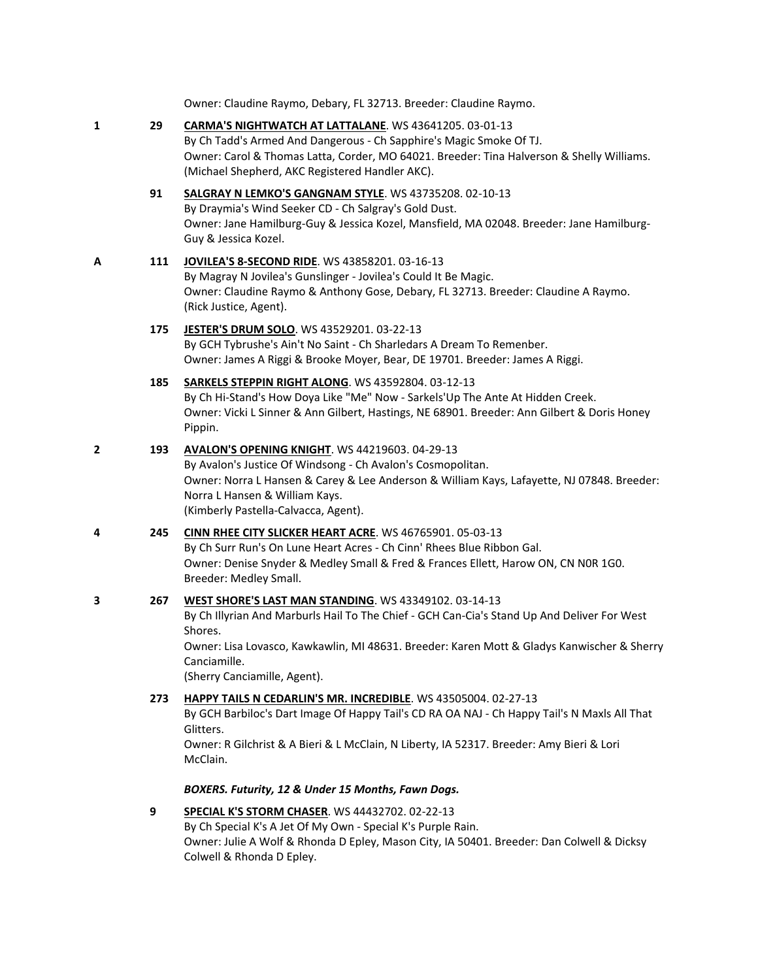Owner: Claudine Raymo, Debary, FL 32713. Breeder: Claudine Raymo.

**1 29 [CARMA'S NIGHTWATCH AT LATTALANE](http://www.infodog.com/files/bdogrsl1.prg;makc=WS%2043641205;mdog=Carma_s_Nightwatch_At_LattaLane;wins=all)**. WS 43641205. 03-01-13 By Ch Tadd's Armed And Dangerous - Ch Sapphire's Magic Smoke Of TJ. Owner: Carol & Thomas Latta, Corder, MO 64021. Breeder: Tina Halverson & Shelly Williams. (Michael Shepherd, AKC Registered Handler AKC). **91 [SALGRAY N LEMKO'S GANGNAM STYLE](http://www.infodog.com/files/bdogrsl1.prg;makc=WS%2043735208;mdog=Salgray_N_Lemko_s_Gangnam_Style;wins=all)**. WS 43735208. 02-10-13 By Draymia's Wind Seeker CD - Ch Salgray's Gold Dust. Owner: Jane Hamilburg-Guy & Jessica Kozel, Mansfield, MA 02048. Breeder: Jane Hamilburg-Guy & Jessica Kozel. **A 111 [JOVILEA'S 8-SECOND RIDE](http://www.infodog.com/files/bdogrsl1.prg;makc=WS%2043858201;mdog=Jovilea_s_8-Second_Ride;wins=all)**. WS 43858201. 03-16-13 By Magray N Jovilea's Gunslinger - Jovilea's Could It Be Magic. Owner: Claudine Raymo & Anthony Gose, Debary, FL 32713. Breeder: Claudine A Raymo. (Rick Justice, Agent). **175 [JESTER'S DRUM SOLO](http://www.infodog.com/files/bdogrsl1.prg;makc=WS%2043529201;mdog=Jester_s_Drum_Solo;wins=all)**. WS 43529201. 03-22-13 By GCH Tybrushe's Ain't No Saint - Ch Sharledars A Dream To Remenber. Owner: James A Riggi & Brooke Moyer, Bear, DE 19701. Breeder: James A Riggi. **185 [SARKELS STEPPIN RIGHT ALONG](http://www.infodog.com/files/bdogrsl1.prg;makc=WS%2043592804;mdog=Sarkels_Steppin_Right_Along;wins=all)**. WS 43592804. 03-12-13 By Ch Hi-Stand's How Doya Like "Me" Now - Sarkels'Up The Ante At Hidden Creek. Owner: Vicki L Sinner & Ann Gilbert, Hastings, NE 68901. Breeder: Ann Gilbert & Doris Honey Pippin. **2 193 [AVALON'S OPENING KNIGHT](http://www.infodog.com/files/bdogrsl1.prg;makc=WS%2044219603;mdog=Avalon_s_Opening_Knight;wins=all)**. WS 44219603. 04-29-13 By Avalon's Justice Of Windsong - Ch Avalon's Cosmopolitan. Owner: Norra L Hansen & Carey & Lee Anderson & William Kays, Lafayette, NJ 07848. Breeder: Norra L Hansen & William Kays. (Kimberly Pastella-Calvacca, Agent). **4 245 [CINN RHEE CITY SLICKER HEART ACRE](http://www.infodog.com/files/bdogrsl1.prg;makc=WS%2046765901;mdog=Cinn_Rhee_City_Slicker_Heart_Acre;wins=all)**. WS 46765901. 05-03-13 By Ch Surr Run's On Lune Heart Acres - Ch Cinn' Rhees Blue Ribbon Gal. Owner: Denise Snyder & Medley Small & Fred & Frances Ellett, Harow ON, CN N0R 1G0. Breeder: Medley Small. **3 267 [WEST SHORE'S LAST MAN STANDING](http://www.infodog.com/files/bdogrsl1.prg;makc=WS%2043349102;mdog=West_Shore_s_Last_Man_Standing;wins=all)**. WS 43349102. 03-14-13 By Ch Illyrian And Marburls Hail To The Chief - GCH Can-Cia's Stand Up And Deliver For West Shores. Owner: Lisa Lovasco, Kawkawlin, MI 48631. Breeder: Karen Mott & Gladys Kanwischer & Sherry Canciamille. (Sherry Canciamille, Agent). **273 [HAPPY TAILS N CEDARLIN'S MR. INCREDIBLE](http://www.infodog.com/files/bdogrsl1.prg;makc=WS%2043505004;mdog=Happy_Tails_N_Cedarlin_s_Mr._Incredible;wins=all)**. WS 43505004. 02-27-13 By GCH Barbiloc's Dart Image Of Happy Tail's CD RA OA NAJ - Ch Happy Tail's N Maxls All That Glitters. Owner: R Gilchrist & A Bieri & L McClain, N Liberty, IA 52317. Breeder: Amy Bieri & Lori McClain. *BOXERS. Futurity, 12 & Under 15 Months, Fawn Dogs.* **9 [SPECIAL K'S STORM CHASER](http://www.infodog.com/files/bdogrsl1.prg;makc=WS%2044432702;mdog=Special_K_s_Storm_Chaser;wins=all)**. WS 44432702. 02-22-13 By Ch Special K's A Jet Of My Own - Special K's Purple Rain.

Owner: Julie A Wolf & Rhonda D Epley, Mason City, IA 50401. Breeder: Dan Colwell & Dicksy Colwell & Rhonda D Epley.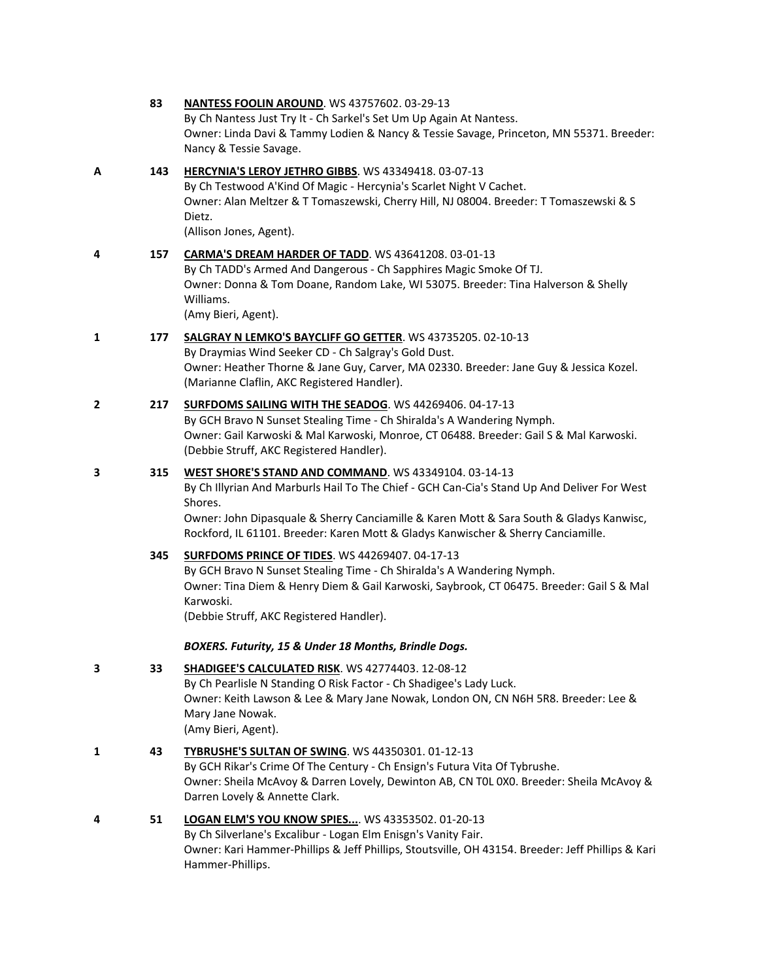|                | 83  | <b>NANTESS FOOLIN AROUND.</b> WS 43757602. 03-29-13<br>By Ch Nantess Just Try It - Ch Sarkel's Set Um Up Again At Nantess.<br>Owner: Linda Davi & Tammy Lodien & Nancy & Tessie Savage, Princeton, MN 55371. Breeder:<br>Nancy & Tessie Savage.                                                                                                 |
|----------------|-----|-------------------------------------------------------------------------------------------------------------------------------------------------------------------------------------------------------------------------------------------------------------------------------------------------------------------------------------------------|
| Α              | 143 | HERCYNIA'S LEROY JETHRO GIBBS. WS 43349418. 03-07-13<br>By Ch Testwood A'Kind Of Magic - Hercynia's Scarlet Night V Cachet.<br>Owner: Alan Meltzer & T Tomaszewski, Cherry Hill, NJ 08004. Breeder: T Tomaszewski & S<br>Dietz.<br>(Allison Jones, Agent).                                                                                      |
| 4              | 157 | CARMA'S DREAM HARDER OF TADD. WS 43641208. 03-01-13<br>By Ch TADD's Armed And Dangerous - Ch Sapphires Magic Smoke Of TJ.<br>Owner: Donna & Tom Doane, Random Lake, WI 53075. Breeder: Tina Halverson & Shelly<br>Williams.<br>(Amy Bieri, Agent).                                                                                              |
| 1              | 177 | SALGRAY N LEMKO'S BAYCLIFF GO GETTER. WS 43735205. 02-10-13<br>By Draymias Wind Seeker CD - Ch Salgray's Gold Dust.<br>Owner: Heather Thorne & Jane Guy, Carver, MA 02330. Breeder: Jane Guy & Jessica Kozel.<br>(Marianne Claflin, AKC Registered Handler).                                                                                    |
| $\overline{2}$ | 217 | <b>SURFDOMS SAILING WITH THE SEADOG. WS 44269406. 04-17-13</b><br>By GCH Bravo N Sunset Stealing Time - Ch Shiralda's A Wandering Nymph.<br>Owner: Gail Karwoski & Mal Karwoski, Monroe, CT 06488. Breeder: Gail S & Mal Karwoski.<br>(Debbie Struff, AKC Registered Handler).                                                                  |
| 3              | 315 | WEST SHORE'S STAND AND COMMAND. WS 43349104. 03-14-13<br>By Ch Illyrian And Marburls Hail To The Chief - GCH Can-Cia's Stand Up And Deliver For West<br>Shores.<br>Owner: John Dipasquale & Sherry Canciamille & Karen Mott & Sara South & Gladys Kanwisc,<br>Rockford, IL 61101. Breeder: Karen Mott & Gladys Kanwischer & Sherry Canciamille. |
|                | 345 | <b>SURFDOMS PRINCE OF TIDES. WS 44269407. 04-17-13</b><br>By GCH Bravo N Sunset Stealing Time - Ch Shiralda's A Wandering Nymph.<br>Owner: Tina Diem & Henry Diem & Gail Karwoski, Saybrook, CT 06475. Breeder: Gail S & Mal<br>Karwoski.<br>(Debbie Struff, AKC Registered Handler).                                                           |
|                |     | BOXERS. Futurity, 15 & Under 18 Months, Brindle Dogs.                                                                                                                                                                                                                                                                                           |
| 3              | 33  | <b>SHADIGEE'S CALCULATED RISK. WS 42774403. 12-08-12</b><br>By Ch Pearlisle N Standing O Risk Factor - Ch Shadigee's Lady Luck.<br>Owner: Keith Lawson & Lee & Mary Jane Nowak, London ON, CN N6H 5R8. Breeder: Lee &<br>Mary Jane Nowak.<br>(Amy Bieri, Agent).                                                                                |
| 1              | 43  | TYBRUSHE'S SULTAN OF SWING. WS 44350301. 01-12-13<br>By GCH Rikar's Crime Of The Century - Ch Ensign's Futura Vita Of Tybrushe.<br>Owner: Sheila McAvoy & Darren Lovely, Dewinton AB, CN TOL 0X0. Breeder: Sheila McAvoy &<br>Darren Lovely & Annette Clark.                                                                                    |
| 4              | 51  | LOGAN ELM'S YOU KNOW SPIES WS 43353502. 01-20-13<br>By Ch Silverlane's Excalibur - Logan Elm Enisgn's Vanity Fair.<br>Owner: Kari Hammer-Phillips & Jeff Phillips, Stoutsville, OH 43154. Breeder: Jeff Phillips & Kari<br>Hammer-Phillips.                                                                                                     |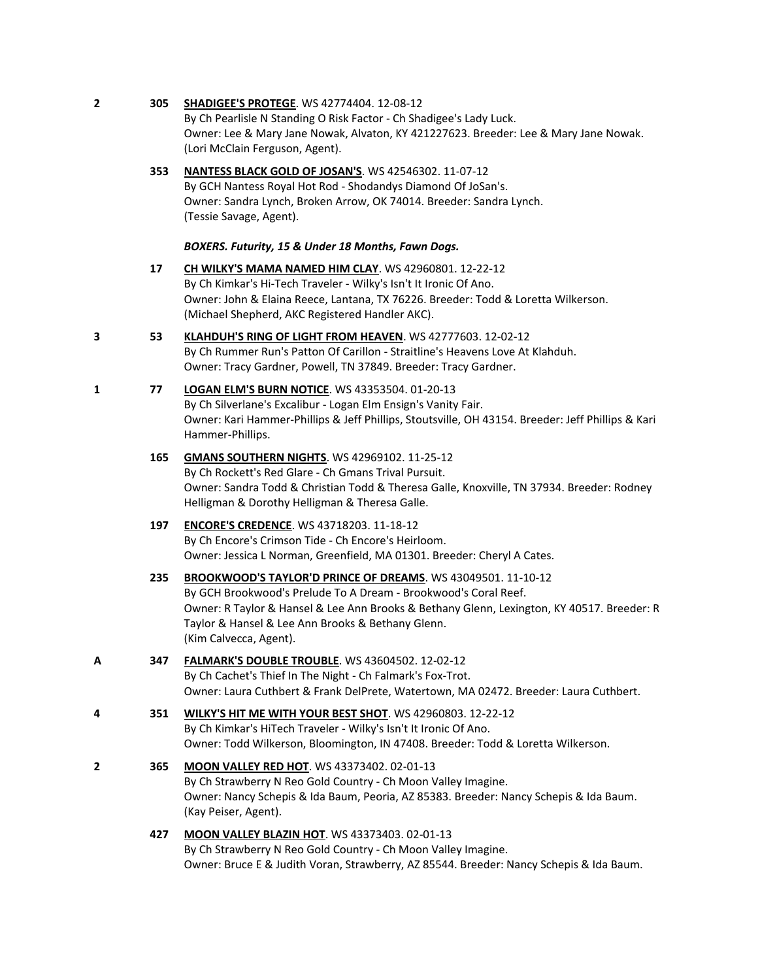**2 305 [SHADIGEE'S PROTEGE](http://www.infodog.com/files/bdogrsl1.prg;makc=WS%2042774404;mdog=Shadigee_s_Protege;wins=all)**. WS 42774404. 12-08-12

By Ch Pearlisle N Standing O Risk Factor - Ch Shadigee's Lady Luck. Owner: Lee & Mary Jane Nowak, Alvaton, KY 421227623. Breeder: Lee & Mary Jane Nowak. (Lori McClain Ferguson, Agent).

**353 [NANTESS BLACK GOLD OF JOSAN'S](http://www.infodog.com/files/bdogrsl1.prg;makc=WS%2042546302;mdog=Nantess_Black_Gold_Of_JoSan_s;wins=all)**. WS 42546302. 11-07-12 By GCH Nantess Royal Hot Rod - Shodandys Diamond Of JoSan's. Owner: Sandra Lynch, Broken Arrow, OK 74014. Breeder: Sandra Lynch. (Tessie Savage, Agent).

#### *BOXERS. Futurity, 15 & Under 18 Months, Fawn Dogs.*

- **17 [CH WILKY'S MAMA NAMED HIM CLAY](http://www.infodog.com/files/bdogrsl1.prg;makc=WS%2042960801;mdog=Ch_Wilky_s_Mama_Named_Him_Clay;wins=all)**. WS 42960801. 12-22-12 By Ch Kimkar's Hi-Tech Traveler - Wilky's Isn't It Ironic Of Ano. Owner: John & Elaina Reece, Lantana, TX 76226. Breeder: Todd & Loretta Wilkerson. (Michael Shepherd, AKC Registered Handler AKC).
- **3 53 [KLAHDUH'S RING OF LIGHT FROM HEAVEN](http://www.infodog.com/files/bdogrsl1.prg;makc=WS%2042777603;mdog=Klahduh_s_Ring_Of_Light_From_Heaven;wins=all)**. WS 42777603. 12-02-12 By Ch Rummer Run's Patton Of Carillon - Straitline's Heavens Love At Klahduh. Owner: Tracy Gardner, Powell, TN 37849. Breeder: Tracy Gardner.
- **1 77 [LOGAN ELM'S BURN NOTICE](http://www.infodog.com/files/bdogrsl1.prg;makc=WS%2043353504;mdog=Logan_Elm_s_Burn_Notice;wins=all)**. WS 43353504. 01-20-13 By Ch Silverlane's Excalibur - Logan Elm Ensign's Vanity Fair. Owner: Kari Hammer-Phillips & Jeff Phillips, Stoutsville, OH 43154. Breeder: Jeff Phillips & Kari Hammer-Phillips.
	- **165 [GMANS SOUTHERN NIGHTS](http://www.infodog.com/files/bdogrsl1.prg;makc=WS%2042969102;mdog=Gmans_Southern_Nights;wins=all)**. WS 42969102. 11-25-12 By Ch Rockett's Red Glare - Ch Gmans Trival Pursuit. Owner: Sandra Todd & Christian Todd & Theresa Galle, Knoxville, TN 37934. Breeder: Rodney Helligman & Dorothy Helligman & Theresa Galle.

## **197 [ENCORE'S CREDENCE](http://www.infodog.com/files/bdogrsl1.prg;makc=WS%2043718203;mdog=Encore_s_Credence;wins=all)**. WS 43718203. 11-18-12 By Ch Encore's Crimson Tide - Ch Encore's Heirloom. Owner: Jessica L Norman, Greenfield, MA 01301. Breeder: Cheryl A Cates.

- **235 [BROOKWOOD'S TAYLOR'D PRINCE OF DREAMS](http://www.infodog.com/files/bdogrsl1.prg;makc=WS%2043049501;mdog=Brookwood_s_Taylor_d_Prince_Of_Dreams;wins=all)**. WS 43049501. 11-10-12 By GCH Brookwood's Prelude To A Dream - Brookwood's Coral Reef. Owner: R Taylor & Hansel & Lee Ann Brooks & Bethany Glenn, Lexington, KY 40517. Breeder: R Taylor & Hansel & Lee Ann Brooks & Bethany Glenn. (Kim Calvecca, Agent).
- **A 347 [FALMARK'S DOUBLE TROUBLE](http://www.infodog.com/files/bdogrsl1.prg;makc=WS%2043604502;mdog=Falmark_s_Double_Trouble;wins=all)**. WS 43604502. 12-02-12 By Ch Cachet's Thief In The Night - Ch Falmark's Fox-Trot. Owner: Laura Cuthbert & Frank DelPrete, Watertown, MA 02472. Breeder: Laura Cuthbert.
- **4 351 [WILKY'S HIT ME WITH YOUR BEST SHOT](http://www.infodog.com/files/bdogrsl1.prg;makc=WS%2042960803;mdog=Wilky_s_Hit_Me_With_Your_Best_Shot;wins=all)**. WS 42960803. 12-22-12 By Ch Kimkar's HiTech Traveler - Wilky's Isn't It Ironic Of Ano. Owner: Todd Wilkerson, Bloomington, IN 47408. Breeder: Todd & Loretta Wilkerson.
- **2 365 [MOON VALLEY RED HOT](http://www.infodog.com/files/bdogrsl1.prg;makc=WS%2043373402;mdog=Moon_Valley_Red_Hot;wins=all)**. WS 43373402. 02-01-13 By Ch Strawberry N Reo Gold Country - Ch Moon Valley Imagine. Owner: Nancy Schepis & Ida Baum, Peoria, AZ 85383. Breeder: Nancy Schepis & Ida Baum. (Kay Peiser, Agent).
	- **427 [MOON VALLEY BLAZIN HOT](http://www.infodog.com/files/bdogrsl1.prg;makc=WS%2043373403;mdog=Moon_Valley_Blazin_Hot;wins=all)**. WS 43373403. 02-01-13 By Ch Strawberry N Reo Gold Country - Ch Moon Valley Imagine. Owner: Bruce E & Judith Voran, Strawberry, AZ 85544. Breeder: Nancy Schepis & Ida Baum.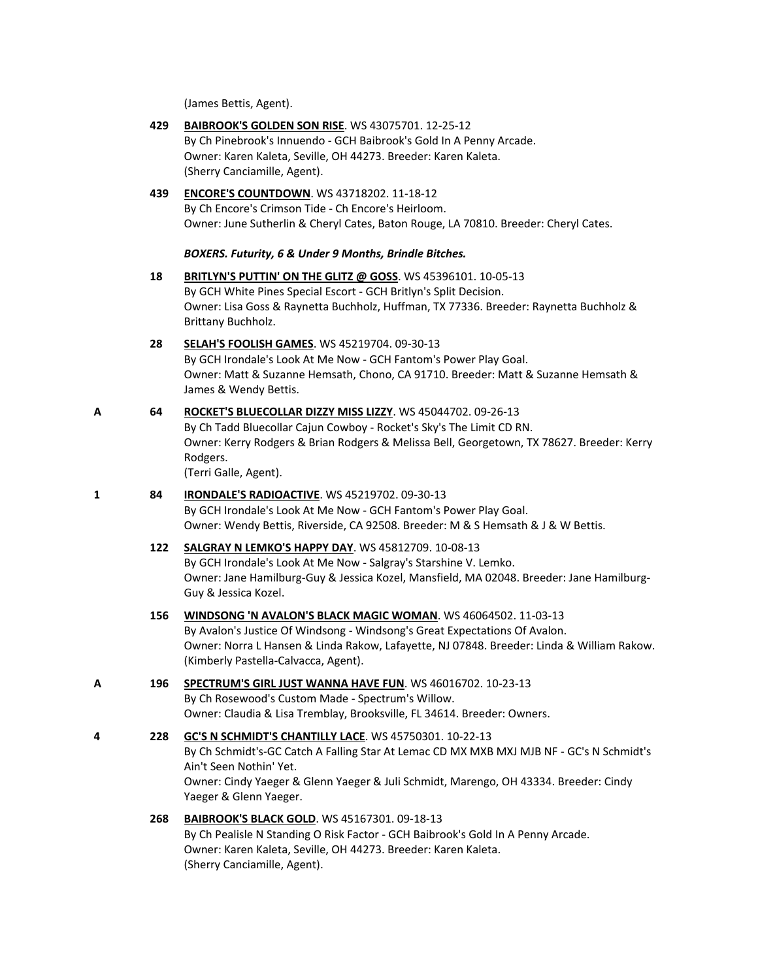(James Bettis, Agent).

**429 [BAIBROOK'S GOLDEN SON RISE](http://www.infodog.com/files/bdogrsl1.prg;makc=WS%2043075701;mdog=Baibrook_s_Golden_Son_Rise;wins=all)**. WS 43075701. 12-25-12

By Ch Pinebrook's Innuendo - GCH Baibrook's Gold In A Penny Arcade. Owner: Karen Kaleta, Seville, OH 44273. Breeder: Karen Kaleta. (Sherry Canciamille, Agent). **439 [ENCORE'S COUNTDOWN](http://www.infodog.com/files/bdogrsl1.prg;makc=WS%2043718202;mdog=Encore_s_Countdown;wins=all)**. WS 43718202. 11-18-12 By Ch Encore's Crimson Tide - Ch Encore's Heirloom. Owner: June Sutherlin & Cheryl Cates, Baton Rouge, LA 70810. Breeder: Cheryl Cates. *BOXERS. Futurity, 6 & Under 9 Months, Brindle Bitches.* **18 [BRITLYN'S PUTTIN' ON THE GLITZ @ GOSS](http://www.infodog.com/files/bdogrsl1.prg;makc=WS%2045396101;mdog=Britlyn_s_Puttin__On_The_Glitz_@_Goss;wins=all)**. WS 45396101. 10-05-13 By GCH White Pines Special Escort - GCH Britlyn's Split Decision. Owner: Lisa Goss & Raynetta Buchholz, Huffman, TX 77336. Breeder: Raynetta Buchholz & Brittany Buchholz. **28 [SELAH'S FOOLISH GAMES](http://www.infodog.com/files/bdogrsl1.prg;makc=WS%2045219704;mdog=Selah_s_Foolish_Games;wins=all)**. WS 45219704. 09-30-13 By GCH Irondale's Look At Me Now - GCH Fantom's Power Play Goal. Owner: Matt & Suzanne Hemsath, Chono, CA 91710. Breeder: Matt & Suzanne Hemsath & James & Wendy Bettis. **A 64 [ROCKET'S BLUECOLLAR DIZZY MISS LIZZY](http://www.infodog.com/files/bdogrsl1.prg;makc=WS%2045044702;mdog=Rocket_s_Bluecollar_Dizzy_Miss_Lizzy;wins=all)**. WS 45044702. 09-26-13 By Ch Tadd Bluecollar Cajun Cowboy - Rocket's Sky's The Limit CD RN. Owner: Kerry Rodgers & Brian Rodgers & Melissa Bell, Georgetown, TX 78627. Breeder: Kerry Rodgers. (Terri Galle, Agent). **1 84 [IRONDALE'S RADIOACTIVE](http://www.infodog.com/files/bdogrsl1.prg;makc=WS%2045219702;mdog=Irondale_s_Radioactive;wins=all)**. WS 45219702. 09-30-13 By GCH Irondale's Look At Me Now - GCH Fantom's Power Play Goal. Owner: Wendy Bettis, Riverside, CA 92508. Breeder: M & S Hemsath & J & W Bettis. **122 [SALGRAY N LEMKO'S HAPPY DAY](http://www.infodog.com/files/bdogrsl1.prg;makc=WS%2045812709;mdog=Salgray_N_Lemko_s_Happy_Day;wins=all)**. WS 45812709. 10-08-13 By GCH Irondale's Look At Me Now - Salgray's Starshine V. Lemko.

Owner: Jane Hamilburg-Guy & Jessica Kozel, Mansfield, MA 02048. Breeder: Jane Hamilburg-Guy & Jessica Kozel.

- **156 [WINDSONG 'N AVALON'S BLACK MAGIC WOMAN](http://www.infodog.com/files/bdogrsl1.prg;makc=WS%2046064502;mdog=Windsong__N_Avalon_s_Black_Magic_Woman;wins=all)**. WS 46064502. 11-03-13 By Avalon's Justice Of Windsong - Windsong's Great Expectations Of Avalon. Owner: Norra L Hansen & Linda Rakow, Lafayette, NJ 07848. Breeder: Linda & William Rakow. (Kimberly Pastella-Calvacca, Agent).
- **A 196 [SPECTRUM'S GIRL JUST WANNA HAVE FUN](http://www.infodog.com/files/bdogrsl1.prg;makc=WS%2046016702;mdog=Spectrum_s_Girl_Just_Wanna_Have_Fun;wins=all)**. WS 46016702. 10-23-13 By Ch Rosewood's Custom Made - Spectrum's Willow. Owner: Claudia & Lisa Tremblay, Brooksville, FL 34614. Breeder: Owners.

## **4 228 [GC'S N SCHMIDT'S CHANTILLY LACE](http://www.infodog.com/files/bdogrsl1.prg;makc=WS%2045750301;mdog=GC_s_N_Schmidt_s_Chantilly_Lace;wins=all)**. WS 45750301. 10-22-13 By Ch Schmidt's-GC Catch A Falling Star At Lemac CD MX MXB MXJ MJB NF - GC's N Schmidt's Ain't Seen Nothin' Yet. Owner: Cindy Yaeger & Glenn Yaeger & Juli Schmidt, Marengo, OH 43334. Breeder: Cindy Yaeger & Glenn Yaeger.

**268 [BAIBROOK'S BLACK GOLD](http://www.infodog.com/files/bdogrsl1.prg;makc=WS%2045167301;mdog=Baibrook_s_Black_Gold;wins=all)**. WS 45167301. 09-18-13 By Ch Pealisle N Standing O Risk Factor - GCH Baibrook's Gold In A Penny Arcade. Owner: Karen Kaleta, Seville, OH 44273. Breeder: Karen Kaleta. (Sherry Canciamille, Agent).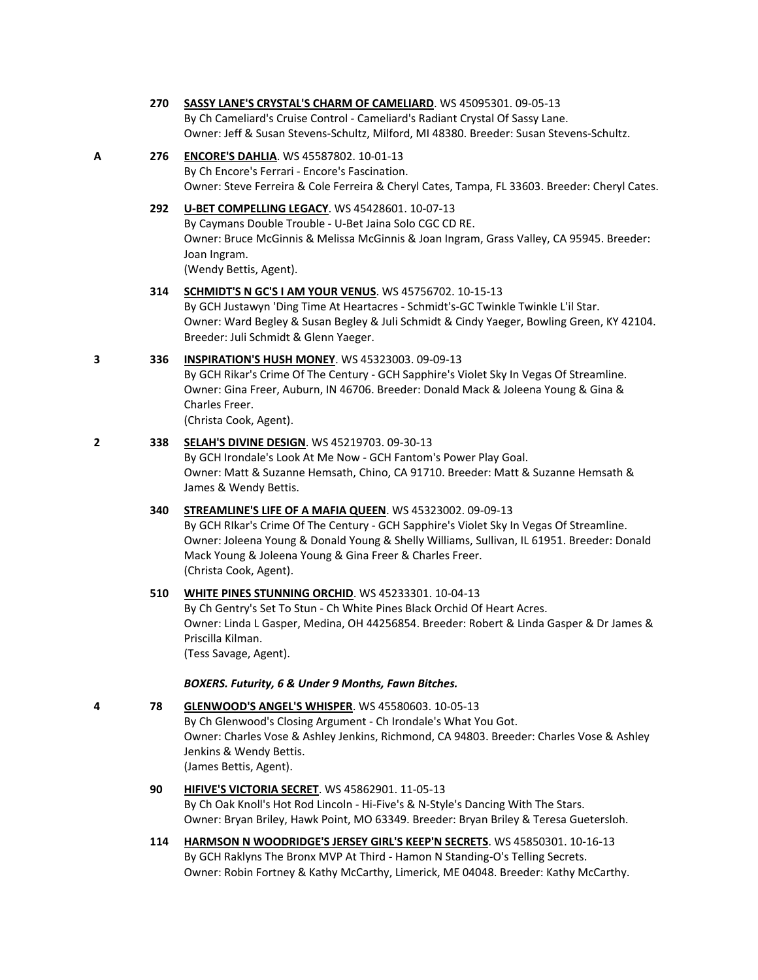#### **270 [SASSY LANE'S CRYSTAL'S CHARM OF CAMELIARD](http://www.infodog.com/files/bdogrsl1.prg;makc=WS%2045095301;mdog=Sassy_Lane_s_Crystal_s_Charm_Of_Cameliard;wins=all)**. WS 45095301. 09-05-13

By Ch Cameliard's Cruise Control - Cameliard's Radiant Crystal Of Sassy Lane. Owner: Jeff & Susan Stevens-Schultz, Milford, MI 48380. Breeder: Susan Stevens-Schultz.

## **A 276 [ENCORE'S DAHLIA](http://www.infodog.com/files/bdogrsl1.prg;makc=WS%2045587802;mdog=Encore_s_Dahlia;wins=all)**. WS 45587802. 10-01-13

By Ch Encore's Ferrari - Encore's Fascination. Owner: Steve Ferreira & Cole Ferreira & Cheryl Cates, Tampa, FL 33603. Breeder: Cheryl Cates.

## **292 [U-BET COMPELLING LEGACY](http://www.infodog.com/files/bdogrsl1.prg;makc=WS%2045428601;mdog=U-Bet_Compelling_Legacy;wins=all)**. WS 45428601. 10-07-13

By Caymans Double Trouble - U-Bet Jaina Solo CGC CD RE. Owner: Bruce McGinnis & Melissa McGinnis & Joan Ingram, Grass Valley, CA 95945. Breeder: Joan Ingram. (Wendy Bettis, Agent).

#### **314 [SCHMIDT'S N GC'S I AM YOUR VENUS](http://www.infodog.com/files/bdogrsl1.prg;makc=WS%2045756702;mdog=Schmidt_s_N_GC_s_I_Am_Your_Venus;wins=all)**. WS 45756702. 10-15-13

By GCH Justawyn 'Ding Time At Heartacres - Schmidt's-GC Twinkle Twinkle L'il Star. Owner: Ward Begley & Susan Begley & Juli Schmidt & Cindy Yaeger, Bowling Green, KY 42104. Breeder: Juli Schmidt & Glenn Yaeger.

### **3 336 [INSPIRATION'S HUSH MONEY](http://www.infodog.com/files/bdogrsl1.prg;makc=WS%2045323003;mdog=Inspiration_s_Hush_Money;wins=all)**. WS 45323003. 09-09-13

By GCH Rikar's Crime Of The Century - GCH Sapphire's Violet Sky In Vegas Of Streamline. Owner: Gina Freer, Auburn, IN 46706. Breeder: Donald Mack & Joleena Young & Gina & Charles Freer.

(Christa Cook, Agent).

## **2 338 [SELAH'S DIVINE DESIGN](http://www.infodog.com/files/bdogrsl1.prg;makc=WS%2045219703;mdog=Selah_s_Divine_Design;wins=all)**. WS 45219703. 09-30-13

By GCH Irondale's Look At Me Now - GCH Fantom's Power Play Goal. Owner: Matt & Suzanne Hemsath, Chino, CA 91710. Breeder: Matt & Suzanne Hemsath & James & Wendy Bettis.

## **340 [STREAMLINE'S LIFE OF A MAFIA QUEEN](http://www.infodog.com/files/bdogrsl1.prg;makc=WS%2045323002;mdog=Streamline_s_Life_Of_A_Mafia_Queen;wins=all)**. WS 45323002. 09-09-13

By GCH RIkar's Crime Of The Century - GCH Sapphire's Violet Sky In Vegas Of Streamline. Owner: Joleena Young & Donald Young & Shelly Williams, Sullivan, IL 61951. Breeder: Donald Mack Young & Joleena Young & Gina Freer & Charles Freer. (Christa Cook, Agent).

#### **510 [WHITE PINES STUNNING ORCHID](http://www.infodog.com/files/bdogrsl1.prg;makc=WS%2045233301;mdog=White_Pines_Stunning_Orchid;wins=all)**. WS 45233301. 10-04-13

By Ch Gentry's Set To Stun - Ch White Pines Black Orchid Of Heart Acres. Owner: Linda L Gasper, Medina, OH 44256854. Breeder: Robert & Linda Gasper & Dr James & Priscilla Kilman.

(Tess Savage, Agent).

#### *BOXERS. Futurity, 6 & Under 9 Months, Fawn Bitches.*

# **4 78 [GLENWOOD'S ANGEL'S WHISPER](http://www.infodog.com/files/bdogrsl1.prg;makc=WS%2045580603;mdog=Glenwood_s_Angel_s_Whisper;wins=all)**. WS 45580603. 10-05-13

By Ch Glenwood's Closing Argument - Ch Irondale's What You Got. Owner: Charles Vose & Ashley Jenkins, Richmond, CA 94803. Breeder: Charles Vose & Ashley Jenkins & Wendy Bettis. (James Bettis, Agent).

# **90 [HIFIVE'S VICTORIA SECRET](http://www.infodog.com/files/bdogrsl1.prg;makc=WS%2045862901;mdog=HiFive_s_Victoria_Secret;wins=all)**. WS 45862901. 11-05-13 By Ch Oak Knoll's Hot Rod Lincoln - Hi-Five's & N-Style's Dancing With The Stars. Owner: Bryan Briley, Hawk Point, MO 63349. Breeder: Bryan Briley & Teresa Guetersloh.

**114 [HARMSON N WOODRIDGE'S JERSEY GIRL'S KEEP'N SECRETS](http://www.infodog.com/files/bdogrsl1.prg;makc=WS%2045850301;mdog=Harmson_N_Woodridge_s_Jersey_Girl_s_Keep_n_Secrets;wins=all)**. WS 45850301. 10-16-13 By GCH Raklyns The Bronx MVP At Third - Hamon N Standing-O's Telling Secrets. Owner: Robin Fortney & Kathy McCarthy, Limerick, ME 04048. Breeder: Kathy McCarthy.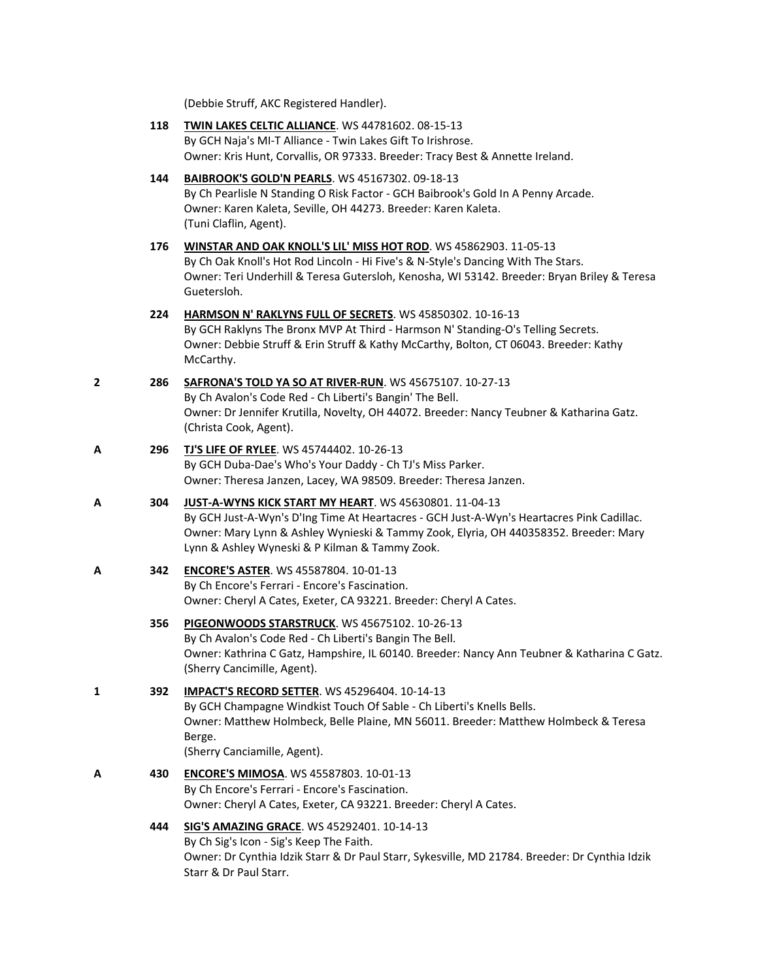(Debbie Struff, AKC Registered Handler).

|   | 118 | TWIN LAKES CELTIC ALLIANCE. WS 44781602. 08-15-13<br>By GCH Naja's MI-T Alliance - Twin Lakes Gift To Irishrose.<br>Owner: Kris Hunt, Corvallis, OR 97333. Breeder: Tracy Best & Annette Ireland.                                                                                             |
|---|-----|-----------------------------------------------------------------------------------------------------------------------------------------------------------------------------------------------------------------------------------------------------------------------------------------------|
|   | 144 | BAIBROOK'S GOLD'N PEARLS. WS 45167302. 09-18-13<br>By Ch Pearlisle N Standing O Risk Factor - GCH Baibrook's Gold In A Penny Arcade.<br>Owner: Karen Kaleta, Seville, OH 44273. Breeder: Karen Kaleta.<br>(Tuni Claflin, Agent).                                                              |
|   | 176 | WINSTAR AND OAK KNOLL'S LIL' MISS HOT ROD. WS 45862903. 11-05-13<br>By Ch Oak Knoll's Hot Rod Lincoln - Hi Five's & N-Style's Dancing With The Stars.<br>Owner: Teri Underhill & Teresa Gutersloh, Kenosha, WI 53142. Breeder: Bryan Briley & Teresa<br>Guetersloh.                           |
|   | 224 | HARMSON N' RAKLYNS FULL OF SECRETS. WS 45850302. 10-16-13<br>By GCH Raklyns The Bronx MVP At Third - Harmson N' Standing-O's Telling Secrets.<br>Owner: Debbie Struff & Erin Struff & Kathy McCarthy, Bolton, CT 06043. Breeder: Kathy<br>McCarthy.                                           |
| 2 | 286 | SAFRONA'S TOLD YA SO AT RIVER-RUN. WS 45675107. 10-27-13<br>By Ch Avalon's Code Red - Ch Liberti's Bangin' The Bell.<br>Owner: Dr Jennifer Krutilla, Novelty, OH 44072. Breeder: Nancy Teubner & Katharina Gatz.<br>(Christa Cook, Agent).                                                    |
| Α | 296 | <b>TJ'S LIFE OF RYLEE. WS 45744402. 10-26-13</b><br>By GCH Duba-Dae's Who's Your Daddy - Ch TJ's Miss Parker.<br>Owner: Theresa Janzen, Lacey, WA 98509. Breeder: Theresa Janzen.                                                                                                             |
| Α | 304 | JUST-A-WYNS KICK START MY HEART. WS 45630801. 11-04-13<br>By GCH Just-A-Wyn's D'Ing Time At Heartacres - GCH Just-A-Wyn's Heartacres Pink Cadillac.<br>Owner: Mary Lynn & Ashley Wynieski & Tammy Zook, Elyria, OH 440358352. Breeder: Mary<br>Lynn & Ashley Wyneski & P Kilman & Tammy Zook. |
| Α | 342 | <b>ENCORE'S ASTER. WS 45587804. 10-01-13</b><br>By Ch Encore's Ferrari - Encore's Fascination.<br>Owner: Cheryl A Cates, Exeter, CA 93221. Breeder: Cheryl A Cates.                                                                                                                           |
|   | 356 | PIGEONWOODS STARSTRUCK. WS 45675102. 10-26-13<br>By Ch Avalon's Code Red - Ch Liberti's Bangin The Bell.<br>Owner: Kathrina C Gatz, Hampshire, IL 60140. Breeder: Nancy Ann Teubner & Katharina C Gatz.<br>(Sherry Cancimille, Agent).                                                        |
| 1 | 392 | <b>IMPACT'S RECORD SETTER.</b> WS 45296404. 10-14-13<br>By GCH Champagne Windkist Touch Of Sable - Ch Liberti's Knells Bells.<br>Owner: Matthew Holmbeck, Belle Plaine, MN 56011. Breeder: Matthew Holmbeck & Teresa<br>Berge.<br>(Sherry Canciamille, Agent).                                |
| А | 430 | ENCORE'S MIMOSA. WS 45587803. 10-01-13<br>By Ch Encore's Ferrari - Encore's Fascination.<br>Owner: Cheryl A Cates, Exeter, CA 93221. Breeder: Cheryl A Cates.                                                                                                                                 |
|   | 444 | SIG'S AMAZING GRACE. WS 45292401. 10-14-13<br>By Ch Sig's Icon - Sig's Keep The Faith.<br>Owner: Dr Cynthia Idzik Starr & Dr Paul Starr, Sykesville, MD 21784. Breeder: Dr Cynthia Idzik<br>Starr & Dr Paul Starr.                                                                            |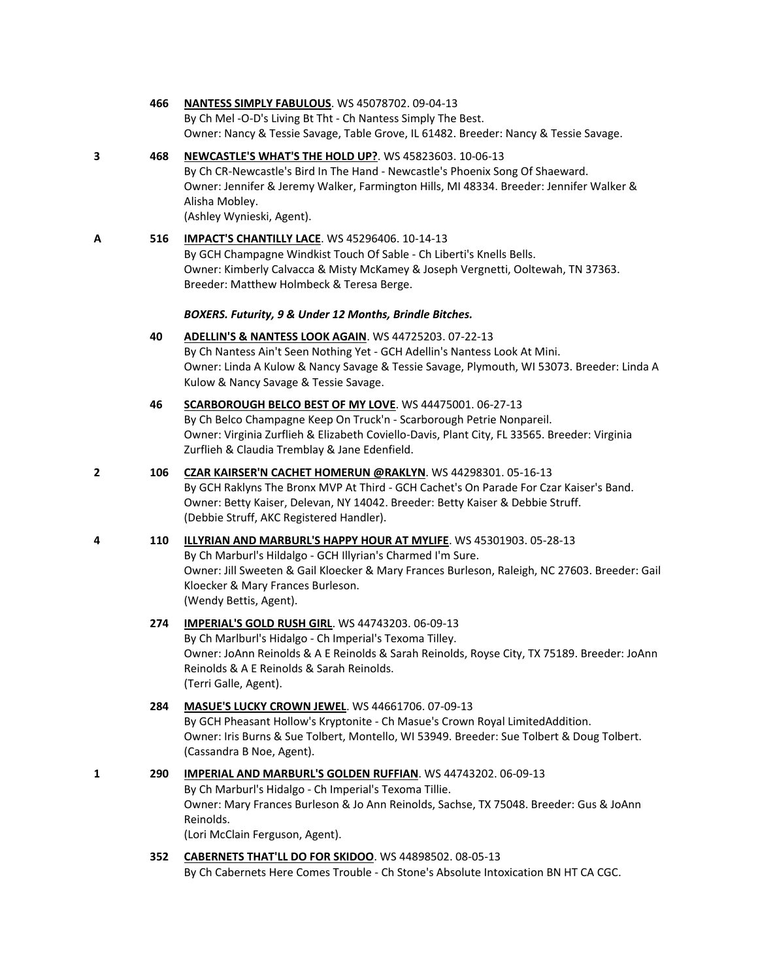By Ch Mel -O-D's Living Bt Tht - Ch Nantess Simply The Best. Owner: Nancy & Tessie Savage, Table Grove, IL 61482. Breeder: Nancy & Tessie Savage. **3 468 [NEWCASTLE'S WHAT'S THE HOLD UP?](http://www.infodog.com/files/bdogrsl1.prg;makc=WS%2045823603;mdog=Newcastle_s_What_s_The_Hold_Up?;wins=all)**. WS 45823603. 10-06-13 By Ch CR-Newcastle's Bird In The Hand - Newcastle's Phoenix Song Of Shaeward. Owner: Jennifer & Jeremy Walker, Farmington Hills, MI 48334. Breeder: Jennifer Walker & Alisha Mobley. (Ashley Wynieski, Agent). **A 516 [IMPACT'S CHANTILLY LACE](http://www.infodog.com/files/bdogrsl1.prg;makc=WS%2045296406;mdog=Impact_s_Chantilly_Lace;wins=all)**. WS 45296406. 10-14-13 By GCH Champagne Windkist Touch Of Sable - Ch Liberti's Knells Bells. Owner: Kimberly Calvacca & Misty McKamey & Joseph Vergnetti, Ooltewah, TN 37363. Breeder: Matthew Holmbeck & Teresa Berge. *BOXERS. Futurity, 9 & Under 12 Months, Brindle Bitches.* **40 [ADELLIN'S & NANTESS LOOK AGAIN](http://www.infodog.com/files/bdogrsl1.prg;makc=WS%2044725203;mdog=Adellin_s_&_Nantess_Look_Again;wins=all)**. WS 44725203. 07-22-13 By Ch Nantess Ain't Seen Nothing Yet - GCH Adellin's Nantess Look At Mini. Owner: Linda A Kulow & Nancy Savage & Tessie Savage, Plymouth, WI 53073. Breeder: Linda A Kulow & Nancy Savage & Tessie Savage. **46 [SCARBOROUGH BELCO BEST OF MY LOVE](http://www.infodog.com/files/bdogrsl1.prg;makc=WS%2044475001;mdog=Scarborough_Belco_Best_Of_My_Love;wins=all)**. WS 44475001. 06-27-13 By Ch Belco Champagne Keep On Truck'n - Scarborough Petrie Nonpareil. Owner: Virginia Zurflieh & Elizabeth Coviello-Davis, Plant City, FL 33565. Breeder: Virginia Zurflieh & Claudia Tremblay & Jane Edenfield. **2 106 [CZAR KAIRSER'N CACHET HOMERUN @RAKLYN](http://www.infodog.com/files/bdogrsl1.prg;makc=WS%2044298301;mdog=Czar_Kairser_n_Cachet_Homerun_@Raklyn;wins=all)**. WS 44298301. 05-16-13 By GCH Raklyns The Bronx MVP At Third - GCH Cachet's On Parade For Czar Kaiser's Band. Owner: Betty Kaiser, Delevan, NY 14042. Breeder: Betty Kaiser & Debbie Struff. (Debbie Struff, AKC Registered Handler). **4 110 [ILLYRIAN AND MARBURL'S HAPPY HOUR AT MYLIFE](http://www.infodog.com/files/bdogrsl1.prg;makc=WS%2045301903;mdog=Illyrian_And_Marburl_s_Happy_Hour_At_MyLife;wins=all)**. WS 45301903. 05-28-13 By Ch Marburl's Hildalgo - GCH Illyrian's Charmed I'm Sure. Owner: Jill Sweeten & Gail Kloecker & Mary Frances Burleson, Raleigh, NC 27603. Breeder: Gail Kloecker & Mary Frances Burleson. (Wendy Bettis, Agent). **274 [IMPERIAL'S GOLD RUSH GIRL](http://www.infodog.com/files/bdogrsl1.prg;makc=WS%2044743203;mdog=Imperial_s_Gold_Rush_Girl;wins=all)**. WS 44743203. 06-09-13 By Ch Marlburl's Hidalgo - Ch Imperial's Texoma Tilley. Owner: JoAnn Reinolds & A E Reinolds & Sarah Reinolds, Royse City, TX 75189. Breeder: JoAnn Reinolds & A E Reinolds & Sarah Reinolds. (Terri Galle, Agent). **284 [MASUE'S LUCKY CROWN JEWEL](http://www.infodog.com/files/bdogrsl1.prg;makc=WS%2044661706;mdog=Masue_s_Lucky_Crown_Jewel;wins=all)**. WS 44661706. 07-09-13

**466 [NANTESS SIMPLY FABULOUS](http://www.infodog.com/files/bdogrsl1.prg;makc=WS%2045078702;mdog=Nantess_Simply_Fabulous;wins=all)**. WS 45078702. 09-04-13

- By GCH Pheasant Hollow's Kryptonite Ch Masue's Crown Royal LimitedAddition. Owner: Iris Burns & Sue Tolbert, Montello, WI 53949. Breeder: Sue Tolbert & Doug Tolbert. (Cassandra B Noe, Agent).
- **1 290 [IMPERIAL AND MARBURL'S GOLDEN RUFFIAN](http://www.infodog.com/files/bdogrsl1.prg;makc=WS%2044743202;mdog=Imperial_And_Marburl_s_Golden_Ruffian;wins=all)**. WS 44743202. 06-09-13 By Ch Marburl's Hidalgo - Ch Imperial's Texoma Tillie. Owner: Mary Frances Burleson & Jo Ann Reinolds, Sachse, TX 75048. Breeder: Gus & JoAnn Reinolds. (Lori McClain Ferguson, Agent).

**352 [CABERNETS THAT'LL DO FOR SKIDOO](http://www.infodog.com/files/bdogrsl1.prg;makc=WS%2044898502;mdog=Cabernets_That_ll_Do_For_Skidoo;wins=all)**. WS 44898502. 08-05-13 By Ch Cabernets Here Comes Trouble - Ch Stone's Absolute Intoxication BN HT CA CGC.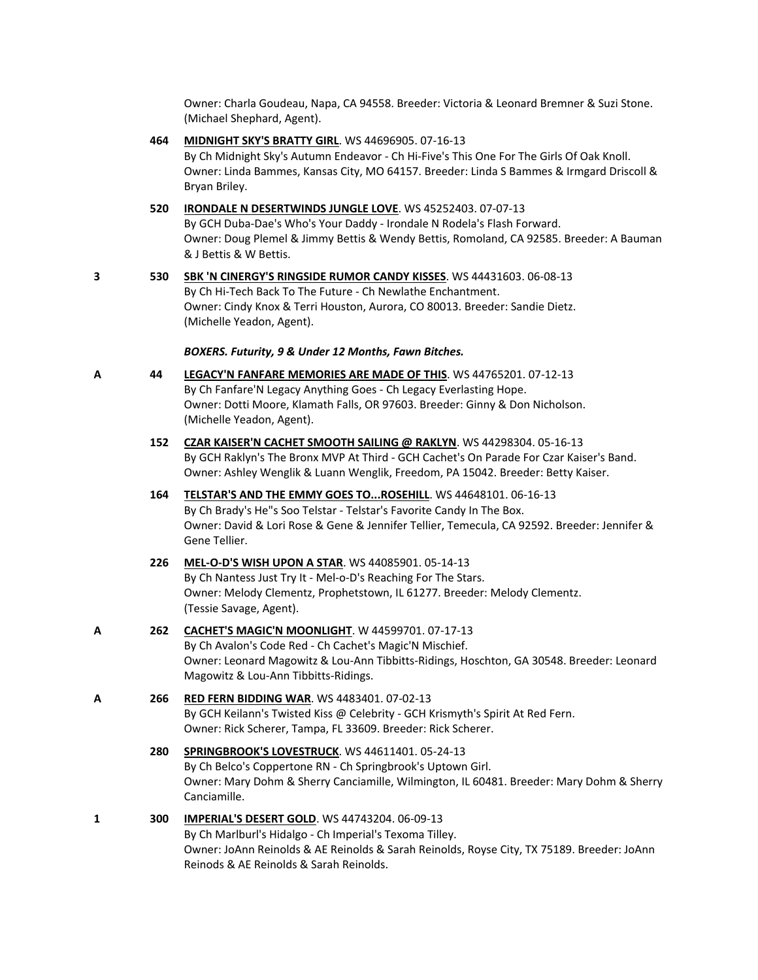Owner: Charla Goudeau, Napa, CA 94558. Breeder: Victoria & Leonard Bremner & Suzi Stone. (Michael Shephard, Agent).

**464 [MIDNIGHT SKY'S BRATTY GIRL](http://www.infodog.com/files/bdogrsl1.prg;makc=WS%2044696905;mdog=Midnight_Sky_s_Bratty_Girl;wins=all)**. WS 44696905. 07-16-13 By Ch Midnight Sky's Autumn Endeavor - Ch Hi-Five's This One For The Girls Of Oak Knoll. Owner: Linda Bammes, Kansas City, MO 64157. Breeder: Linda S Bammes & Irmgard Driscoll & Bryan Briley.

**520 [IRONDALE N DESERTWINDS JUNGLE LOVE](http://www.infodog.com/files/bdogrsl1.prg;makc=WS%2045252403;mdog=Irondale_N_Desertwinds_Jungle_Love;wins=all)**. WS 45252403. 07-07-13 By GCH Duba-Dae's Who's Your Daddy - Irondale N Rodela's Flash Forward. Owner: Doug Plemel & Jimmy Bettis & Wendy Bettis, Romoland, CA 92585. Breeder: A Bauman & J Bettis & W Bettis.

**3 530 [SBK 'N CINERGY'S RINGSIDE RUMOR CANDY KISSES](http://www.infodog.com/files/bdogrsl1.prg;makc=WS%2044431603;mdog=SBK__N_Cinergy_s_Ringside_Rumor_Candy_Kisses;wins=all)**. WS 44431603. 06-08-13 By Ch Hi-Tech Back To The Future - Ch Newlathe Enchantment. Owner: Cindy Knox & Terri Houston, Aurora, CO 80013. Breeder: Sandie Dietz. (Michelle Yeadon, Agent).

#### *BOXERS. Futurity, 9 & Under 12 Months, Fawn Bitches.*

- 
- **A 44 [LEGACY'N FANFARE MEMORIES ARE MADE OF THIS](http://www.infodog.com/files/bdogrsl1.prg;makc=WS%2044765201;mdog=Legacy_N_Fanfare_Memories_Are_Made_Of_This;wins=all)**. WS 44765201. 07-12-13 By Ch Fanfare'N Legacy Anything Goes - Ch Legacy Everlasting Hope. Owner: Dotti Moore, Klamath Falls, OR 97603. Breeder: Ginny & Don Nicholson. (Michelle Yeadon, Agent).
	- **152 [CZAR KAISER'N CACHET SMOOTH SAILING @ RAKLYN](http://www.infodog.com/files/bdogrsl1.prg;makc=WS%2044298304;mdog=Czar_Kaiser_N_Cachet_Smooth_Sailing_@_Raklyn;wins=all)**. WS 44298304. 05-16-13 By GCH Raklyn's The Bronx MVP At Third - GCH Cachet's On Parade For Czar Kaiser's Band. Owner: Ashley Wenglik & Luann Wenglik, Freedom, PA 15042. Breeder: Betty Kaiser.
	- **164 [TELSTAR'S AND THE EMMY GOES TO...ROSEHILL](http://www.infodog.com/files/bdogrsl1.prg;makc=WS%2044648101;mdog=Telstar_s_And_The_Emmy_Goes_To...Rosehill;wins=all)**. WS 44648101. 06-16-13 By Ch Brady's He"s Soo Telstar - Telstar's Favorite Candy In The Box. Owner: David & Lori Rose & Gene & Jennifer Tellier, Temecula, CA 92592. Breeder: Jennifer & Gene Tellier.
	- **226 [MEL-O-D'S WISH UPON A STAR](http://www.infodog.com/files/bdogrsl1.prg;makc=WS%2044085901;mdog=Mel-o-D_s_Wish_Upon_A_Star;wins=all)**. WS 44085901. 05-14-13 By Ch Nantess Just Try It - Mel-o-D's Reaching For The Stars. Owner: Melody Clementz, Prophetstown, IL 61277. Breeder: Melody Clementz. (Tessie Savage, Agent).
- **A 262 [CACHET'S MAGIC'N MOONLIGHT](http://www.infodog.com/files/bdogrsl1.prg;makc=W%2044599701;mdog=Cachet_s_Magic_N_Moonlight;wins=all)**. W 44599701. 07-17-13 By Ch Avalon's Code Red - Ch Cachet's Magic'N Mischief. Owner: Leonard Magowitz & Lou-Ann Tibbitts-Ridings, Hoschton, GA 30548. Breeder: Leonard Magowitz & Lou-Ann Tibbitts-Ridings.
- **A 266 [RED FERN BIDDING WAR](http://www.infodog.com/files/bdogrsl1.prg;makc=WS%204483401;mdog=Red_Fern_Bidding_War;wins=all)**. WS 4483401. 07-02-13 By GCH Keilann's Twisted Kiss @ Celebrity - GCH Krismyth's Spirit At Red Fern. Owner: Rick Scherer, Tampa, FL 33609. Breeder: Rick Scherer.
	- **280 [SPRINGBROOK'S LOVESTRUCK](http://www.infodog.com/files/bdogrsl1.prg;makc=WS%2044611401;mdog=Springbrook_s_Lovestruck;wins=all)**. WS 44611401. 05-24-13 By Ch Belco's Coppertone RN - Ch Springbrook's Uptown Girl. Owner: Mary Dohm & Sherry Canciamille, Wilmington, IL 60481. Breeder: Mary Dohm & Sherry Canciamille.
- **1 300 [IMPERIAL'S DESERT GOLD](http://www.infodog.com/files/bdogrsl1.prg;makc=WS%2044743204;mdog=Imperial_s_Desert_Gold;wins=all)**. WS 44743204. 06-09-13 By Ch Marlburl's Hidalgo - Ch Imperial's Texoma Tilley. Owner: JoAnn Reinolds & AE Reinolds & Sarah Reinolds, Royse City, TX 75189. Breeder: JoAnn Reinods & AE Reinolds & Sarah Reinolds.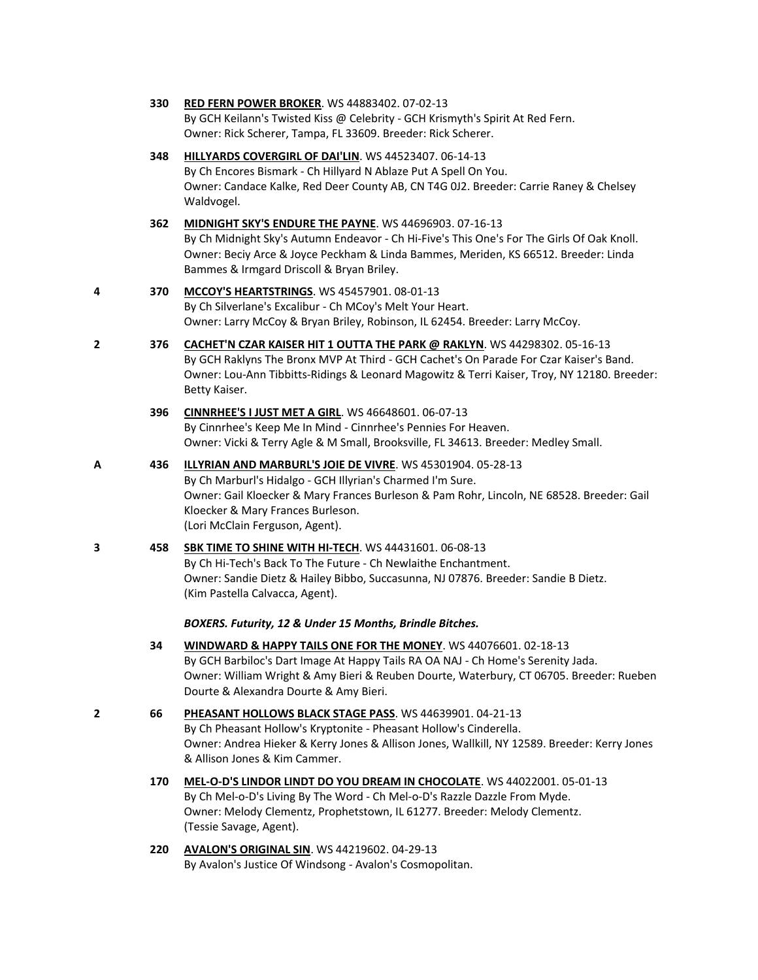| 330 | <b>RED FERN POWER BROKER. WS 44883402. 07-02-13</b>                            |  |  |  |
|-----|--------------------------------------------------------------------------------|--|--|--|
|     | By GCH Keilann's Twisted Kiss @ Celebrity - GCH Krismyth's Spirit At Red Fern. |  |  |  |
|     | Owner: Rick Scherer, Tampa, FL 33609. Breeder: Rick Scherer.                   |  |  |  |

**348 [HILLYARDS COVERGIRL OF DAI'LIN](http://www.infodog.com/files/bdogrsl1.prg;makc=WS%2044523407;mdog=Hillyards_Covergirl_Of_Dai_lin;wins=all)**. WS 44523407. 06-14-13 By Ch Encores Bismark - Ch Hillyard N Ablaze Put A Spell On You. Owner: Candace Kalke, Red Deer County AB, CN T4G 0J2. Breeder: Carrie Raney & Chelsey Waldvogel.

**362 [MIDNIGHT SKY'S ENDURE THE PAYNE](http://www.infodog.com/files/bdogrsl1.prg;makc=WS%2044696903;mdog=Midnight_Sky_s_Endure_The_Payne;wins=all)**. WS 44696903. 07-16-13 By Ch Midnight Sky's Autumn Endeavor - Ch Hi-Five's This One's For The Girls Of Oak Knoll. Owner: Beciy Arce & Joyce Peckham & Linda Bammes, Meriden, KS 66512. Breeder: Linda Bammes & Irmgard Driscoll & Bryan Briley.

#### **4 370 [MCCOY'S HEARTSTRINGS](http://www.infodog.com/files/bdogrsl1.prg;makc=WS%2045457901;mdog=McCoy_s_Heartstrings;wins=all)**. WS 45457901. 08-01-13 By Ch Silverlane's Excalibur - Ch MCoy's Melt Your Heart. Owner: Larry McCoy & Bryan Briley, Robinson, IL 62454. Breeder: Larry McCoy.

- **2 376 [CACHET'N CZAR KAISER HIT 1 OUTTA THE PARK @ RAKLYN](http://www.infodog.com/files/bdogrsl1.prg;makc=WS%2044298302;mdog=Cachet_N_Czar_Kaiser_Hit_1_Outta_The_Park_@_Raklyn;wins=all)**. WS 44298302. 05-16-13 By GCH Raklyns The Bronx MVP At Third - GCH Cachet's On Parade For Czar Kaiser's Band. Owner: Lou-Ann Tibbitts-Ridings & Leonard Magowitz & Terri Kaiser, Troy, NY 12180. Breeder: Betty Kaiser.
	- **396 [CINNRHEE'S I JUST MET A GIRL](http://www.infodog.com/files/bdogrsl1.prg;makc=WS%2046648601;mdog=Cinnrhee_s_I_Just_Met_A_Girl;wins=all)**. WS 46648601. 06-07-13 By Cinnrhee's Keep Me In Mind - Cinnrhee's Pennies For Heaven. Owner: Vicki & Terry Agle & M Small, Brooksville, FL 34613. Breeder: Medley Small.
- **A 436 [ILLYRIAN AND MARBURL'S JOIE DE VIVRE](http://www.infodog.com/files/bdogrsl1.prg;makc=WS%2045301904;mdog=Illyrian_And_Marburl_s_Joie_De_Vivre;wins=all)**. WS 45301904. 05-28-13 By Ch Marburl's Hidalgo - GCH Illyrian's Charmed I'm Sure. Owner: Gail Kloecker & Mary Frances Burleson & Pam Rohr, Lincoln, NE 68528. Breeder: Gail Kloecker & Mary Frances Burleson. (Lori McClain Ferguson, Agent).
- **3 458 [SBK TIME TO SHINE WITH HI-TECH](http://www.infodog.com/files/bdogrsl1.prg;makc=WS%2044431601;mdog=SBK_Time_To_Shine_With_Hi-Tech;wins=all)**. WS 44431601. 06-08-13 By Ch Hi-Tech's Back To The Future - Ch Newlaithe Enchantment. Owner: Sandie Dietz & Hailey Bibbo, Succasunna, NJ 07876. Breeder: Sandie B Dietz. (Kim Pastella Calvacca, Agent).

*BOXERS. Futurity, 12 & Under 15 Months, Brindle Bitches.*

- **34 [WINDWARD & HAPPY TAILS ONE FOR THE MONEY](http://www.infodog.com/files/bdogrsl1.prg;makc=WS%2044076601;mdog=Windward_&_Happy_Tails_One_For_The_Money;wins=all)**. WS 44076601. 02-18-13 By GCH Barbiloc's Dart Image At Happy Tails RA OA NAJ - Ch Home's Serenity Jada. Owner: William Wright & Amy Bieri & Reuben Dourte, Waterbury, CT 06705. Breeder: Rueben Dourte & Alexandra Dourte & Amy Bieri.
- **2 66 [PHEASANT HOLLOWS BLACK STAGE PASS](http://www.infodog.com/files/bdogrsl1.prg;makc=WS%2044639901;mdog=Pheasant_Hollows_Black_Stage_Pass;wins=all)**. WS 44639901. 04-21-13 By Ch Pheasant Hollow's Kryptonite - Pheasant Hollow's Cinderella. Owner: Andrea Hieker & Kerry Jones & Allison Jones, Wallkill, NY 12589. Breeder: Kerry Jones & Allison Jones & Kim Cammer.
	- **170 [MEL-O-D'S LINDOR LINDT DO YOU DREAM IN CHOCOLATE](http://www.infodog.com/files/bdogrsl1.prg;makc=WS%2044022001;mdog=Mel-o-D_s_Lindor_Lindt_Do_You_Dream_In_Chocolate;wins=all)**. WS 44022001. 05-01-13 By Ch Mel-o-D's Living By The Word - Ch Mel-o-D's Razzle Dazzle From Myde. Owner: Melody Clementz, Prophetstown, IL 61277. Breeder: Melody Clementz. (Tessie Savage, Agent).
	- **220 [AVALON'S ORIGINAL SIN](http://www.infodog.com/files/bdogrsl1.prg;makc=WS%2044219602;mdog=Avalon_s_Original_Sin;wins=all)**. WS 44219602. 04-29-13 By Avalon's Justice Of Windsong - Avalon's Cosmopolitan.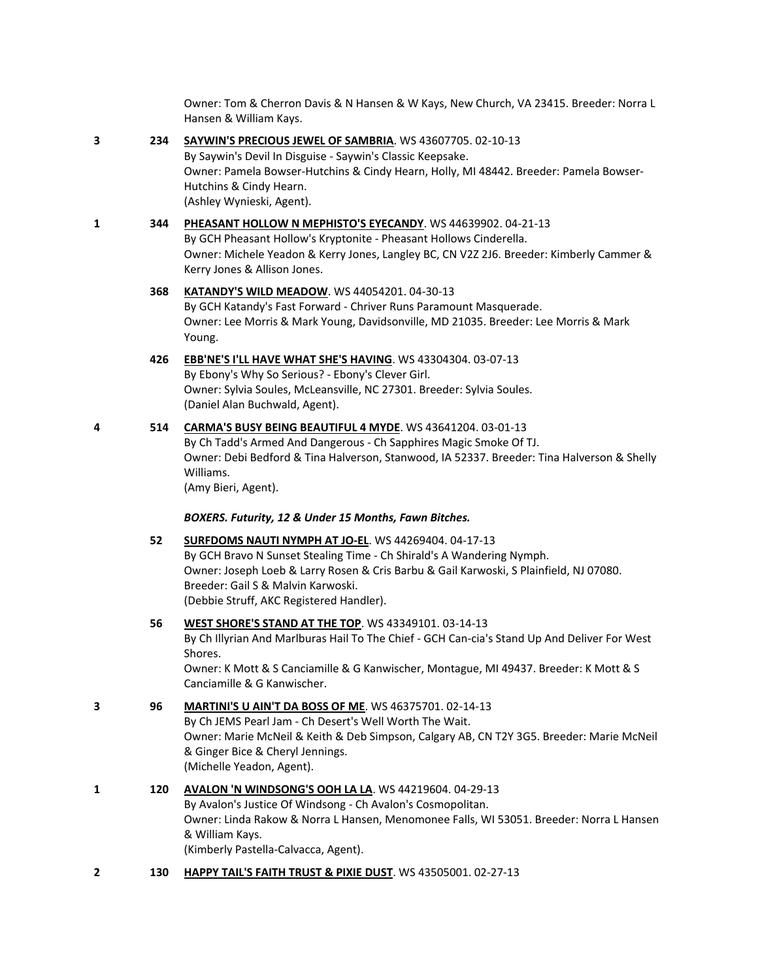Owner: Tom & Cherron Davis & N Hansen & W Kays, New Church, VA 23415. Breeder: Norra L Hansen & William Kays.

**3 234 [SAYWIN'S PRECIOUS JEWEL OF SAMBRIA](http://www.infodog.com/files/bdogrsl1.prg;makc=WS%2043607705;mdog=Saywin_s_Precious_Jewel_Of_Sambria;wins=all)**. WS 43607705. 02-10-13 By Saywin's Devil In Disguise - Saywin's Classic Keepsake. Owner: Pamela Bowser-Hutchins & Cindy Hearn, Holly, MI 48442. Breeder: Pamela Bowser-Hutchins & Cindy Hearn. (Ashley Wynieski, Agent). **1 344 [PHEASANT HOLLOW N MEPHISTO'S EYECANDY](http://www.infodog.com/files/bdogrsl1.prg;makc=WS%2044639902;mdog=Pheasant_Hollow_N_Mephisto_s_Eyecandy;wins=all)**. WS 44639902. 04-21-13

> By GCH Pheasant Hollow's Kryptonite - Pheasant Hollows Cinderella. Owner: Michele Yeadon & Kerry Jones, Langley BC, CN V2Z 2J6. Breeder: Kimberly Cammer & Kerry Jones & Allison Jones.

# **368 KATANDY'S [WILD MEADOW](http://www.infodog.com/files/bdogrsl1.prg;makc=WS%2044054201;mdog=Katandy_s_Wild_Meadow;wins=all)**. WS 44054201. 04-30-13 By GCH Katandy's Fast Forward - Chriver Runs Paramount Masquerade. Owner: Lee Morris & Mark Young, Davidsonville, MD 21035. Breeder: Lee Morris & Mark Young.

#### **426 [EBB'NE'S I'LL HAVE WHAT SHE'S HAVING](http://www.infodog.com/files/bdogrsl1.prg;makc=WS%2043304304;mdog=EBB_nE_s_I_ll_Have_What_She_s_Having;wins=all)**. WS 43304304. 03-07-13 By Ebony's Why So Serious? - Ebony's Clever Girl. Owner: Sylvia Soules, McLeansville, NC 27301. Breeder: Sylvia Soules. (Daniel Alan Buchwald, Agent).

#### **4 514 [CARMA'S BUSY BEING BEAUTIFUL 4 MYDE](http://www.infodog.com/files/bdogrsl1.prg;makc=WS%2043641204;mdog=Carma_s_Busy_Being_Beautiful_4_MYDE;wins=all)**. WS 43641204. 03-01-13 By Ch Tadd's Armed And Dangerous - Ch Sapphires Magic Smoke Of TJ. Owner: Debi Bedford & Tina Halverson, Stanwood, IA 52337. Breeder: Tina Halverson & Shelly Williams.

(Amy Bieri, Agent).

## *BOXERS. Futurity, 12 & Under 15 Months, Fawn Bitches.*

## **52 [SURFDOMS NAUTI NYMPH AT JO-EL](http://www.infodog.com/files/bdogrsl1.prg;makc=WS%2044269404;mdog=Surfdoms_Nauti_Nymph_At_Jo-El;wins=all)**. WS 44269404. 04-17-13

By GCH Bravo N Sunset Stealing Time - Ch Shirald's A Wandering Nymph. Owner: Joseph Loeb & Larry Rosen & Cris Barbu & Gail Karwoski, S Plainfield, NJ 07080. Breeder: Gail S & Malvin Karwoski. (Debbie Struff, AKC Registered Handler).

#### **56 [WEST SHORE'S STAND AT THE TOP](http://www.infodog.com/files/bdogrsl1.prg;makc=WS%2043349101;mdog=West_Shore_s_Stand_At_The_Top;wins=all)**. WS 43349101. 03-14-13

By Ch Illyrian And Marlburas Hail To The Chief - GCH Can-cia's Stand Up And Deliver For West Shores.

Owner: K Mott & S Canciamille & G Kanwischer, Montague, MI 49437. Breeder: K Mott & S Canciamille & G Kanwischer.

## **3 96 [MARTINI'S U AIN'T DA BOSS OF ME](http://www.infodog.com/files/bdogrsl1.prg;makc=WS%2046375701;mdog=Martini_s_U_Ain_t_Da_Boss_Of_Me;wins=all)**. WS 46375701. 02-14-13

By Ch JEMS Pearl Jam - Ch Desert's Well Worth The Wait. Owner: Marie McNeil & Keith & Deb Simpson, Calgary AB, CN T2Y 3G5. Breeder: Marie McNeil & Ginger Bice & Cheryl Jennings. (Michelle Yeadon, Agent).

## **1 120 [AVALON 'N WINDSONG'S OOH LA LA](http://www.infodog.com/files/bdogrsl1.prg;makc=WS%2044219604;mdog=Avalon__N_Windsong_s_Ooh_La_La;wins=all)**. WS 44219604. 04-29-13 By Avalon's Justice Of Windsong - Ch Avalon's Cosmopolitan. Owner: Linda Rakow & Norra L Hansen, Menomonee Falls, WI 53051. Breeder: Norra L Hansen & William Kays. (Kimberly Pastella-Calvacca, Agent).

**2 130 [HAPPY TAIL'S FAITH TRUST & PIXIE DUST](http://www.infodog.com/files/bdogrsl1.prg;makc=WS%2043505001;mdog=Happy_Tail_s_Faith_Trust_&_Pixie_Dust;wins=all)**. WS 43505001. 02-27-13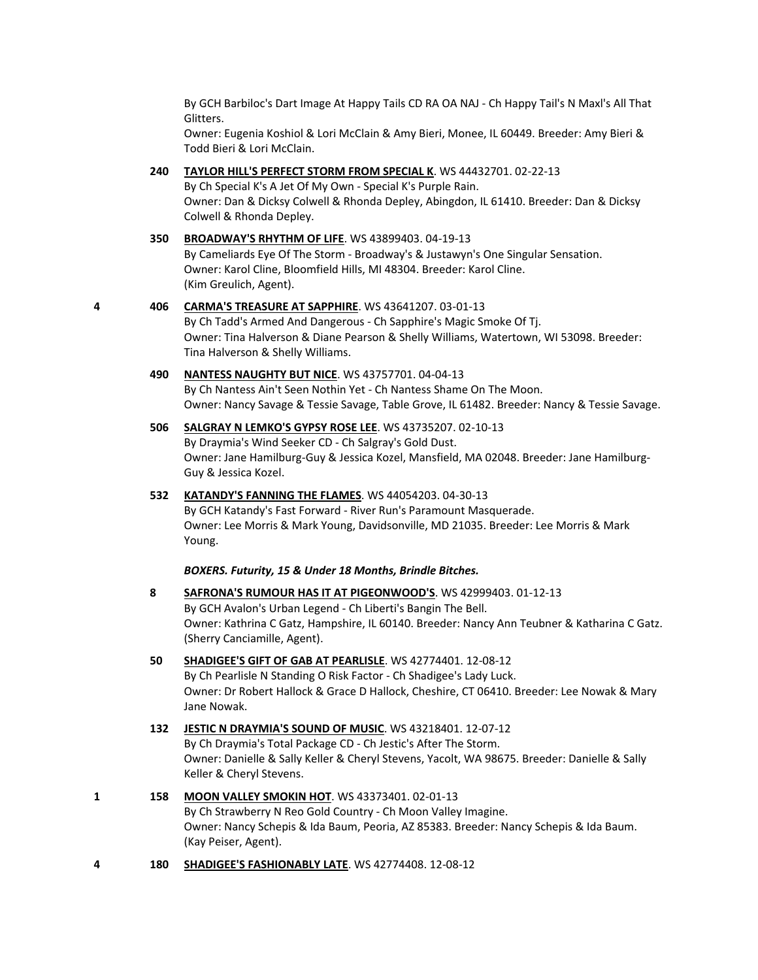By GCH Barbiloc's Dart Image At Happy Tails CD RA OA NAJ - Ch Happy Tail's N Maxl's All That Glitters.

Owner: Eugenia Koshiol & Lori McClain & Amy Bieri, Monee, IL 60449. Breeder: Amy Bieri & Todd Bieri & Lori McClain.

#### **240 [TAYLOR HILL'S PERFECT STORM FROM SPECIAL K](http://www.infodog.com/files/bdogrsl1.prg;makc=WS%2044432701;mdog=Taylor_Hill_s_Perfect_Storm_From_Special_K;wins=all)**. WS 44432701. 02-22-13

By Ch Special K's A Jet Of My Own - Special K's Purple Rain. Owner: Dan & Dicksy Colwell & Rhonda Depley, Abingdon, IL 61410. Breeder: Dan & Dicksy Colwell & Rhonda Depley.

# **350 [BROADWAY'S RHYTHM OF LIFE](http://www.infodog.com/files/bdogrsl1.prg;makc=WS%2043899403;mdog=Broadway_s_Rhythm_Of_Life;wins=all)**. WS 43899403. 04-19-13

By Cameliards Eye Of The Storm - Broadway's & Justawyn's One Singular Sensation. Owner: Karol Cline, Bloomfield Hills, MI 48304. Breeder: Karol Cline. (Kim Greulich, Agent).

#### **4 406 [CARMA'S TREASURE AT SAPPHIRE](http://www.infodog.com/files/bdogrsl1.prg;makc=WS%2043641207;mdog=Carma_s_Treasure_At_Sapphire;wins=all)**. WS 43641207. 03-01-13 By Ch Tadd's Armed And Dangerous - Ch Sapphire's Magic Smoke Of Tj. Owner: Tina Halverson & Diane Pearson & Shelly Williams, Watertown, WI 53098. Breeder: Tina Halverson & Shelly Williams.

## **490 [NANTESS NAUGHTY BUT](http://www.infodog.com/files/bdogrsl1.prg;makc=WS%2043757701;mdog=Nantess_Naughty_But_Nice;wins=all) NICE**. WS 43757701. 04-04-13 By Ch Nantess Ain't Seen Nothin Yet - Ch Nantess Shame On The Moon. Owner: Nancy Savage & Tessie Savage, Table Grove, IL 61482. Breeder: Nancy & Tessie Savage.

**506 [SALGRAY N LEMKO'S GYPSY ROSE LEE](http://www.infodog.com/files/bdogrsl1.prg;makc=WS%2043735207;mdog=Salgray_N_Lemko_s_Gypsy_Rose_Lee;wins=all)**. WS 43735207. 02-10-13 By Draymia's Wind Seeker CD - Ch Salgray's Gold Dust. Owner: Jane Hamilburg-Guy & Jessica Kozel, Mansfield, MA 02048. Breeder: Jane Hamilburg-Guy & Jessica Kozel.

#### **532 [KATANDY'S FANNING THE FLAMES](http://www.infodog.com/files/bdogrsl1.prg;makc=WS%2044054203;mdog=Katandy_s_Fanning_The_Flames;wins=all)**. WS 44054203. 04-30-13 By GCH Katandy's Fast Forward - River Run's Paramount Masquerade.

Owner: Lee Morris & Mark Young, Davidsonville, MD 21035. Breeder: Lee Morris & Mark Young.

#### *BOXERS. Futurity, 15 & Under 18 Months, Brindle Bitches.*

**8 [SAFRONA'S RUMOUR HAS IT AT PIGEONWOOD'S](http://www.infodog.com/files/bdogrsl1.prg;makc=WS%2042999403;mdog=Safrona_s_Rumour_Has_It_At_Pigeonwood_s;wins=all)**. WS 42999403. 01-12-13 By GCH Avalon's Urban Legend - Ch Liberti's Bangin The Bell. Owner: Kathrina C Gatz, Hampshire, IL 60140. Breeder: Nancy Ann Teubner & Katharina C Gatz. (Sherry Canciamille, Agent).

### **50 [SHADIGEE'S GIFT OF GAB AT PEARLISLE](http://www.infodog.com/files/bdogrsl1.prg;makc=WS%2042774401;mdog=Shadigee_s_Gift_Of_Gab_At_Pearlisle;wins=all)**. WS 42774401. 12-08-12 By Ch Pearlisle N Standing O Risk Factor - Ch Shadigee's Lady Luck. Owner: Dr Robert Hallock & Grace D Hallock, Cheshire, CT 06410. Breeder: Lee Nowak & Mary Jane Nowak.

### **132 [JESTIC N DRAYMIA'S SOUND OF MUSIC](http://www.infodog.com/files/bdogrsl1.prg;makc=WS%2043218401;mdog=Jestic_N_Draymia_s_Sound_Of_Music;wins=all)**. WS 43218401. 12-07-12 By Ch Draymia's Total Package CD - Ch Jestic's After The Storm. Owner: Danielle & Sally Keller & Cheryl Stevens, Yacolt, WA 98675. Breeder: Danielle & Sally Keller & Cheryl Stevens.

## **1 158 [MOON VALLEY SMOKIN HOT](http://www.infodog.com/files/bdogrsl1.prg;makc=WS%2043373401;mdog=Moon_Valley_Smokin_Hot;wins=all)**. WS 43373401. 02-01-13

By Ch Strawberry N Reo Gold Country - Ch Moon Valley Imagine. Owner: Nancy Schepis & Ida Baum, Peoria, AZ 85383. Breeder: Nancy Schepis & Ida Baum. (Kay Peiser, Agent).

**4 180 [SHADIGEE'S FASHIONABLY LATE](http://www.infodog.com/files/bdogrsl1.prg;makc=WS%2042774408;mdog=Shadigee_s_Fashionably_Late;wins=all)**. WS 42774408. 12-08-12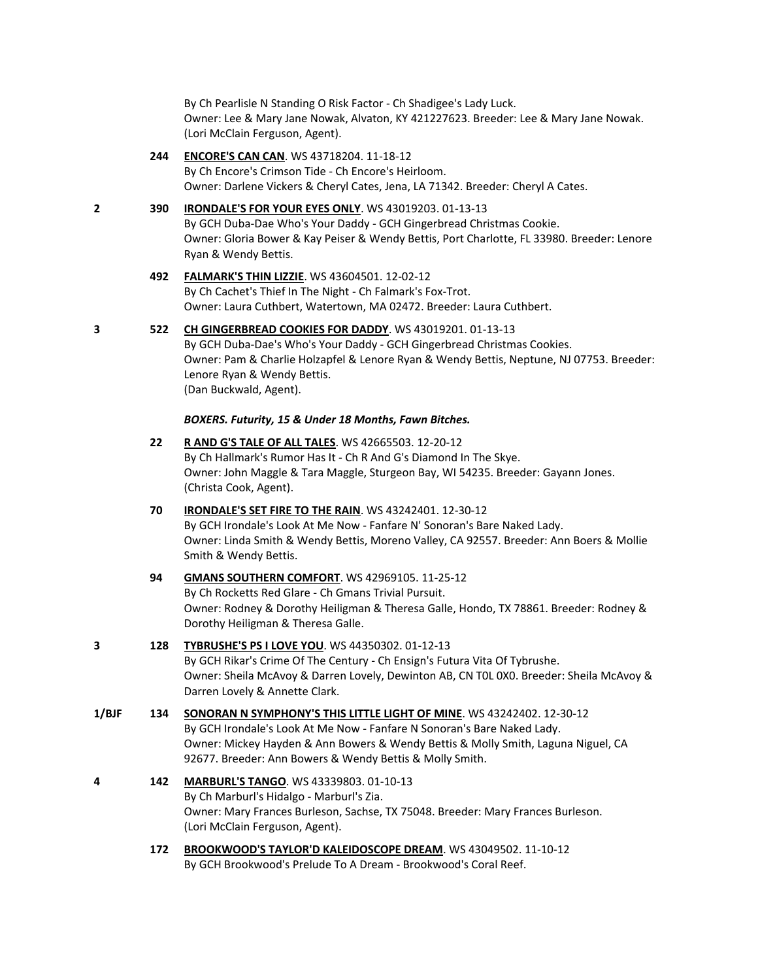By Ch Pearlisle N Standing O Risk Factor - Ch Shadigee's Lady Luck. Owner: Lee & Mary Jane Nowak, Alvaton, KY 421227623. Breeder: Lee & Mary Jane Nowak. (Lori McClain Ferguson, Agent).

#### **244 [ENCORE'S CAN CAN](http://www.infodog.com/files/bdogrsl1.prg;makc=WS%2043718204;mdog=Encore_s_Can_Can;wins=all)**. WS 43718204. 11-18-12

By Ch Encore's Crimson Tide - Ch Encore's Heirloom. Owner: Darlene Vickers & Cheryl Cates, Jena, LA 71342. Breeder: Cheryl A Cates.

## **2 390 [IRONDALE'S FOR YOUR EYES ONLY](http://www.infodog.com/files/bdogrsl1.prg;makc=WS%2043019203;mdog=Irondale_s_For_Your_Eyes_Only;wins=all)**. WS 43019203. 01-13-13

By GCH Duba-Dae Who's Your Daddy - GCH Gingerbread Christmas Cookie. Owner: Gloria Bower & Kay Peiser & Wendy Bettis, Port Charlotte, FL 33980. Breeder: Lenore Ryan & Wendy Bettis.

#### **492 [FALMARK'S THIN LIZZIE](http://www.infodog.com/files/bdogrsl1.prg;makc=WS%2043604501;mdog=Falmark_s_Thin_Lizzie;wins=all)**. WS 43604501. 12-02-12

By Ch Cachet's Thief In The Night - Ch Falmark's Fox-Trot. Owner: Laura Cuthbert, Watertown, MA 02472. Breeder: Laura Cuthbert.

## **3 522 [CH GINGERBREAD COOKIES FOR DADDY](http://www.infodog.com/files/bdogrsl1.prg;makc=WS%2043019201;mdog=Ch_Gingerbread_Cookies_For_Daddy;wins=all)**. WS 43019201. 01-13-13

By GCH Duba-Dae's Who's Your Daddy - GCH Gingerbread Christmas Cookies. Owner: Pam & Charlie Holzapfel & Lenore Ryan & Wendy Bettis, Neptune, NJ 07753. Breeder: Lenore Ryan & Wendy Bettis. (Dan Buckwald, Agent).

#### *BOXERS. Futurity, 15 & Under 18 Months, Fawn Bitches.*

**22 [R AND G'S TALE OF ALL TALES](http://www.infodog.com/files/bdogrsl1.prg;makc=WS%2042665503;mdog=R_And_G_s_Tale_Of_All_Tales;wins=all)**. WS 42665503. 12-20-12 By Ch Hallmark's Rumor Has It - Ch R And G's Diamond In The Skye. Owner: John Maggle & Tara Maggle, Sturgeon Bay, WI 54235. Breeder: Gayann Jones. (Christa Cook, Agent).

## **70 [IRONDALE'S SET FIRE TO THE RAIN](http://www.infodog.com/files/bdogrsl1.prg;makc=WS%2043242401;mdog=Irondale_s_Set_Fire_To_The_Rain;wins=all)**. WS 43242401. 12-30-12 By GCH Irondale's Look At Me Now - Fanfare N' Sonoran's Bare Naked Lady. Owner: Linda Smith & Wendy Bettis, Moreno Valley, CA 92557. Breeder: Ann Boers & Mollie Smith & Wendy Bettis.

# **94 [GMANS SOUTHERN COMFORT](http://www.infodog.com/files/bdogrsl1.prg;makc=WS%2042969105;mdog=Gmans_Southern_Comfort;wins=all)**. WS 42969105. 11-25-12 By Ch Rocketts Red Glare - Ch Gmans Trivial Pursuit. Owner: Rodney & Dorothy Heiligman & Theresa Galle, Hondo, TX 78861. Breeder: Rodney & Dorothy Heiligman & Theresa Galle. **3 128 [TYBRUSHE'S PS I LOVE YOU](http://www.infodog.com/files/bdogrsl1.prg;makc=WS%2044350302;mdog=Tybrushe_s_PS_I_Love_You;wins=all)**. WS 44350302. 01-12-13 By GCH Rikar's Crime Of The Century - Ch Ensign's Futura Vita Of Tybrushe. Owner: Sheila McAvoy & Darren Lovely, Dewinton AB, CN T0L 0X0. Breeder: Sheila McAvoy & Darren Lovely & Annette Clark. **1/BJF 134 [SONORAN N SYMPHONY'S THIS LITTLE LIGHT OF MINE](http://www.infodog.com/files/bdogrsl1.prg;makc=WS%2043242402;mdog=Sonoran_N_Symphony_s_This_Little_Light_Of_Mine;wins=all)**. WS 43242402. 12-30-12 By GCH Irondale's Look At Me Now - Fanfare N Sonoran's Bare Naked Lady. Owner: Mickey Hayden & Ann Bowers & Wendy Bettis & Molly Smith, Laguna Niguel, CA

- 92677. Breeder: Ann Bowers & Wendy Bettis & Molly Smith. **4 142 [MARBURL'S TANGO](http://www.infodog.com/files/bdogrsl1.prg;makc=WS%2043339803;mdog=Marburl_s_Tango;wins=all)**. WS 43339803. 01-10-13 By Ch Marburl's Hidalgo - Marburl's Zia. Owner: Mary Frances Burleson, Sachse, TX 75048. Breeder: Mary Frances Burleson. (Lori McClain Ferguson, Agent).
	- **172 [BROOKWOOD'S TAYLOR'D KALEIDOSCOPE DREAM](http://www.infodog.com/files/bdogrsl1.prg;makc=WS%2043049502;mdog=Brookwood_s_Taylor_d_Kaleidoscope_Dream;wins=all)**. WS 43049502. 11-10-12 By GCH Brookwood's Prelude To A Dream - Brookwood's Coral Reef.